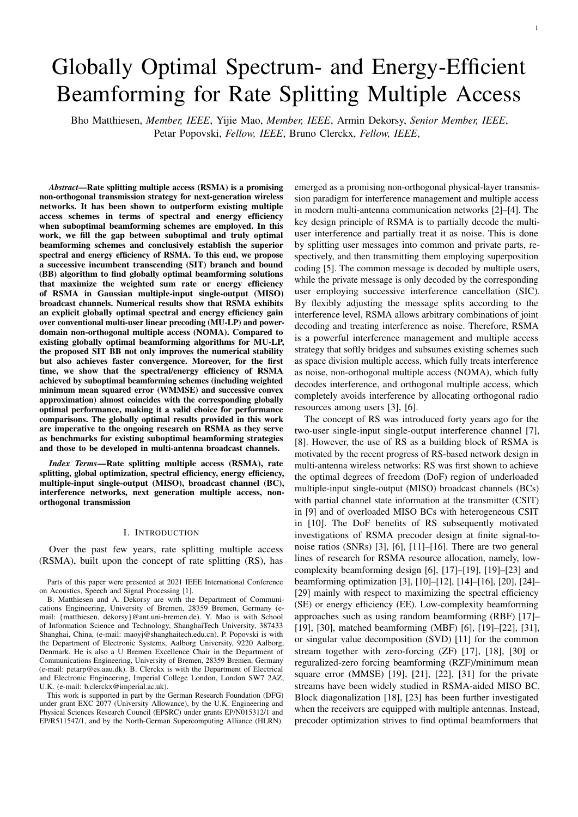# Globally Optimal Spectrum- and Energy-Efficient Beamforming for Rate Splitting Multiple Access

Bho Matthiesen, *Member, IEEE*, Yijie Mao, *Member, IEEE*, Armin Dekorsy, *Senior Member, IEEE*, Petar Popovski, *Fellow, IEEE*, Bruno Clerckx, *Fellow, IEEE*,

*Abstract*—Rate splitting multiple access (RSMA) is a promising non-orthogonal transmission strategy for next-generation wireless networks. It has been shown to outperform existing multiple access schemes in terms of spectral and energy efficiency when suboptimal beamforming schemes are employed. In this work, we fill the gap between suboptimal and truly optimal beamforming schemes and conclusively establish the superior spectral and energy efficiency of RSMA. To this end, we propose a successive incumbent transcending (SIT) branch and bound (BB) algorithm to find globally optimal beamforming solutions that maximize the weighted sum rate or energy efficiency of RSMA in Gaussian multiple-input single-output (MISO) broadcast channels. Numerical results show that RSMA exhibits an explicit globally optimal spectral and energy efficiency gain over conventional multi-user linear precoding (MU-LP) and powerdomain non-orthogonal multiple access (NOMA). Compared to existing globally optimal beamforming algorithms for MU-LP, the proposed SIT BB not only improves the numerical stability but also achieves faster convergence. Moreover, for the first time, we show that the spectral/energy efficiency of RSMA achieved by suboptimal beamforming schemes (including weighted minimum mean squared error (WMMSE) and successive convex approximation) almost coincides with the corresponding globally optimal performance, making it a valid choice for performance comparisons. The globally optimal results provided in this work are imperative to the ongoing research on RSMA as they serve as benchmarks for existing suboptimal beamforming strategies and those to be developed in multi-antenna broadcast channels.

*Index Terms*—Rate splitting multiple access (RSMA), rate splitting, global optimization, spectral efficiency, energy efficiency, multiple-input single-output (MISO), broadcast channel (BC), interference networks, next generation multiple access, nonorthogonal transmission

#### I. INTRODUCTION

Over the past few years, rate splitting multiple access (RSMA), built upon the concept of rate splitting (RS), has

This work is supported in part by the German Research Foundation (DFG) under grant EXC 2077 (University Allowance), by the U.K. Engineering and Physical Sciences Research Council (EPSRC) under grants EP/N015312/1 and EP/R511547/1, and by the North-German Supercomputing Alliance (HLRN).

emerged as a promising non-orthogonal physical-layer transmission paradigm for interference management and multiple access in modern multi-antenna communication networks [2]–[4]. The key design principle of RSMA is to partially decode the multiuser interference and partially treat it as noise. This is done by splitting user messages into common and private parts, respectively, and then transmitting them employing superposition coding [5]. The common message is decoded by multiple users, while the private message is only decoded by the corresponding user employing successive interference cancellation (SIC). By flexibly adjusting the message splits according to the interference level, RSMA allows arbitrary combinations of joint decoding and treating interference as noise. Therefore, RSMA is a powerful interference management and multiple access strategy that softly bridges and subsumes existing schemes such as space division multiple access, which fully treats interference as noise, non-orthogonal multiple access (NOMA), which fully decodes interference, and orthogonal multiple access, which completely avoids interference by allocating orthogonal radio resources among users [3], [6].

The concept of RS was introduced forty years ago for the two-user single-input single-output interference channel [7], [8]. However, the use of RS as a building block of RSMA is motivated by the recent progress of RS-based network design in multi-antenna wireless networks: RS was first shown to achieve the optimal degrees of freedom (DoF) region of underloaded multiple-input single-output (MISO) broadcast channels (BCs) with partial channel state information at the transmitter (CSIT) in [9] and of overloaded MISO BCs with heterogeneous CSIT in [10]. The DoF benefits of RS subsequently motivated investigations of RSMA precoder design at finite signal-tonoise ratios (SNRs) [3], [6], [11]–[16]. There are two general lines of research for RSMA resource allocation, namely, lowcomplexity beamforming design [6], [17]–[19], [19]–[23] and beamforming optimization [3], [10]–[12], [14]–[16], [20], [24]– [29] mainly with respect to maximizing the spectral efficiency (SE) or energy efficiency (EE). Low-complexity beamforming approaches such as using random beamforming (RBF) [17]– [19], [30], matched beamforming (MBF) [6], [19]–[22], [31], or singular value decomposition (SVD) [11] for the common stream together with zero-forcing (ZF) [17], [18], [30] or reguralized-zero forcing beamforming (RZF)/minimum mean square error (MMSE) [19], [21], [22], [31] for the private streams have been widely studied in RSMA-aided MISO BC. Block diagonalization [18], [23] has been further investigated when the receivers are equipped with multiple antennas. Instead, precoder optimization strives to find optimal beamformers that

Parts of this paper were presented at 2021 IEEE International Conference on Acoustics, Speech and Signal Processing [1].

B. Matthiesen and A. Dekorsy are with the Department of Communications Engineering, University of Bremen, 28359 Bremen, Germany (email: {matthiesen, dekorsy}@ant.uni-bremen.de). Y. Mao is with School of Information Science and Technology, ShanghaiTech University, 387433 Shanghai, China, (e-mail: maoyj@shanghaitech.edu.cn). P. Popovski is with the Department of Electronic Systems, Aalborg University, 9220 Aalborg, Denmark. He is also a U Bremen Excellence Chair in the Department of Communications Engineering, University of Bremen, 28359 Bremen, Germany (e-mail: petarp@es.aau.dk). B. Clerckx is with the Department of Electrical and Electronic Engineering, Imperial College London, London SW7 2AZ, U.K. (e-mail: b.clerckx@imperial.ac.uk).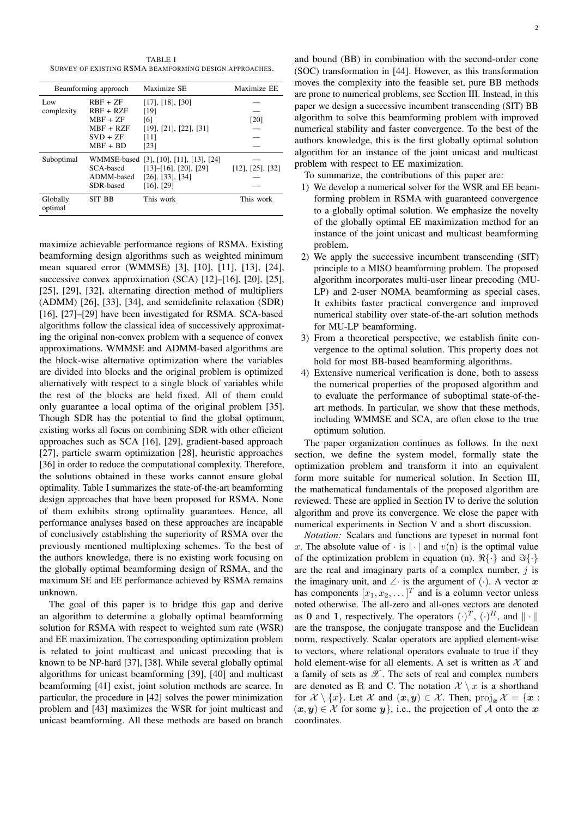TABLE I SURVEY OF EXISTING RSMA BEAMFORMING DESIGN APPROACHES.

| Beamforming approach |                                                                                    | Maximize SE                                                                                                                 | Maximize EE              |
|----------------------|------------------------------------------------------------------------------------|-----------------------------------------------------------------------------------------------------------------------------|--------------------------|
| Low<br>complexity    | $RBF + ZF$<br>$RBF + RZF$<br>$MBF + ZF$<br>$MBF + RZF$<br>$SVD + ZF$<br>$MBF + BD$ | $[17]$ , $[18]$ , $[30]$<br>[19]<br>[6]<br>$[19]$ , $[21]$ , $[22]$ , $[31]$<br>[11]<br>[23]                                | [20]                     |
| Suboptimal           | SCA-based<br>ADMM-based<br>SDR-based                                               | WMMSE-based [3], [10], [11], [13], [24]<br>$[13]$ - $[16]$ , $[20]$ , $[29]$<br>$[26]$ , $[33]$ , $[34]$<br>$[16]$ , $[29]$ | $[12]$ , $[25]$ , $[32]$ |
| Globally<br>optimal  | SIT BB                                                                             | This work                                                                                                                   | This work                |

maximize achievable performance regions of RSMA. Existing beamforming design algorithms such as weighted minimum mean squared error (WMMSE) [3], [10], [11], [13], [24], successive convex approximation (SCA) [12]–[16], [20], [25], [25], [29], [32], alternating direction method of multipliers (ADMM) [26], [33], [34], and semidefinite relaxation (SDR) [16], [27]–[29] have been investigated for RSMA. SCA-based algorithms follow the classical idea of successively approximating the original non-convex problem with a sequence of convex approximations. WMMSE and ADMM-based algorithms are the block-wise alternative optimization where the variables are divided into blocks and the original problem is optimized alternatively with respect to a single block of variables while the rest of the blocks are held fixed. All of them could only guarantee a local optima of the original problem [35]. Though SDR has the potential to find the global optimum, existing works all focus on combining SDR with other efficient approaches such as SCA [16], [29], gradient-based approach [27], particle swarm optimization [28], heuristic approaches [36] in order to reduce the computational complexity. Therefore, the solutions obtained in these works cannot ensure global optimality. Table I summarizes the state-of-the-art beamforming design approaches that have been proposed for RSMA. None of them exhibits strong optimality guarantees. Hence, all performance analyses based on these approaches are incapable of conclusively establishing the superiority of RSMA over the previously mentioned multiplexing schemes. To the best of the authors knowledge, there is no existing work focusing on the globally optimal beamforming design of RSMA, and the maximum SE and EE performance achieved by RSMA remains unknown.

The goal of this paper is to bridge this gap and derive an algorithm to determine a globally optimal beamforming solution for RSMA with respect to weighted sum rate (WSR) and EE maximization. The corresponding optimization problem is related to joint multicast and unicast precoding that is known to be NP-hard [37], [38]. While several globally optimal algorithms for unicast beamforming [39], [40] and multicast beamforming [41] exist, joint solution methods are scarce. In particular, the procedure in [42] solves the power minimization problem and [43] maximizes the WSR for joint multicast and unicast beamforming. All these methods are based on branch

and bound (BB) in combination with the second-order cone (SOC) transformation in [44]. However, as this transformation moves the complexity into the feasible set, pure BB methods are prone to numerical problems, see Section III. Instead, in this paper we design a successive incumbent transcending (SIT) BB algorithm to solve this beamforming problem with improved numerical stability and faster convergence. To the best of the authors knowledge, this is the first globally optimal solution algorithm for an instance of the joint unicast and multicast problem with respect to EE maximization.

To summarize, the contributions of this paper are:

- 1) We develop a numerical solver for the WSR and EE beamforming problem in RSMA with guaranteed convergence to a globally optimal solution. We emphasize the novelty of the globally optimal EE maximization method for an instance of the joint unicast and multicast beamforming problem.
- 2) We apply the successive incumbent transcending (SIT) principle to a MISO beamforming problem. The proposed algorithm incorporates multi-user linear precoding (MU-LP) and 2-user NOMA beamforming as special cases. It exhibits faster practical convergence and improved numerical stability over state-of-the-art solution methods for MU-LP beamforming.
- 3) From a theoretical perspective, we establish finite convergence to the optimal solution. This property does not hold for most BB-based beamforming algorithms.
- 4) Extensive numerical verification is done, both to assess the numerical properties of the proposed algorithm and to evaluate the performance of suboptimal state-of-theart methods. In particular, we show that these methods, including WMMSE and SCA, are often close to the true optimum solution.

The paper organization continues as follows. In the next section, we define the system model, formally state the optimization problem and transform it into an equivalent form more suitable for numerical solution. In Section III, the mathematical fundamentals of the proposed algorithm are reviewed. These are applied in Section IV to derive the solution algorithm and prove its convergence. We close the paper with numerical experiments in Section V and a short discussion.

*Notation:* Scalars and functions are typeset in normal font x. The absolute value of  $\cdot$  is  $|\cdot|$  and  $v(n)$  is the optimal value of the optimization problem in equation (n).  $\mathbb{R}\{\cdot\}$  and  $\mathbb{S}\{\cdot\}$ are the real and imaginary parts of a complex number,  $j$  is the imaginary unit, and ∠ is the argument of  $(·)$ . A vector x has components  $[x_1, x_2, \dots]^T$  and is a column vector unless noted otherwise. The all-zero and all-ones vectors are denoted as 0 and 1, respectively. The operators  $(\cdot)^T$ ,  $(\cdot)^H$ , and  $\|\cdot\|$ are the transpose, the conjugate transpose and the Euclidean norm, respectively. Scalar operators are applied element-wise to vectors, where relational operators evaluate to true if they hold element-wise for all elements. A set is written as  $X$  and a family of sets as  $\mathscr X$ . The sets of real and complex numbers are denoted as R and C. The notation  $\mathcal{X} \setminus x$  is a shorthand for  $\mathcal{X} \setminus \{x\}$ . Let  $\mathcal{X}$  and  $(x, y) \in \mathcal{X}$ . Then,  $\text{proj}_{x} \mathcal{X} = \{x :$  $(x, y) \in \mathcal{X}$  for some  $y\}$ , i.e., the projection of A onto the x coordinates.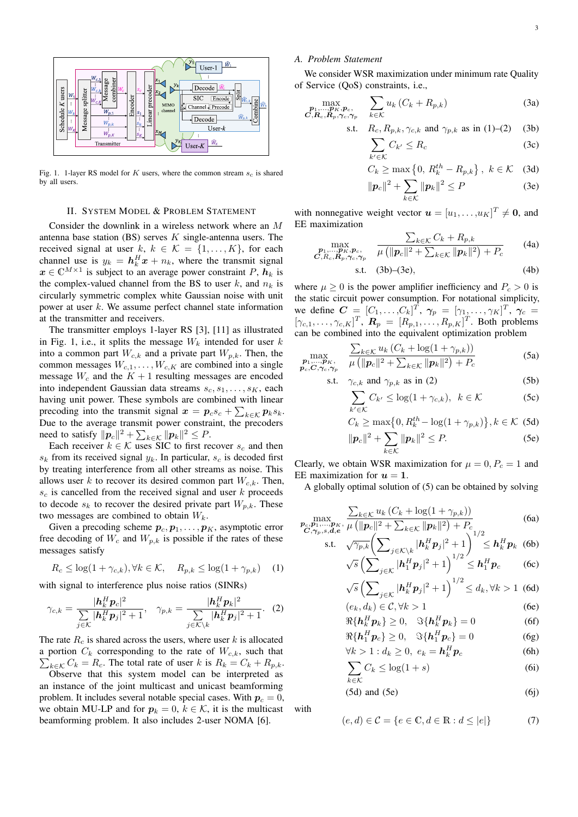

Fig. 1. 1-layer RS model for  $K$  users, where the common stream  $s_c$  is shared by all users.

#### II. SYSTEM MODEL & PROBLEM STATEMENT

Consider the downlink in a wireless network where an M antenna base station  $(BS)$  serves  $K$  single-antenna users. The received signal at user  $k, k \in \mathcal{K} = \{1, ..., K\}$ , for each channel use is  $y_k = h_k^H x + n_k$ , where the transmit signal  $x \in \mathbb{C}^{M \times 1}$  is subject to an average power constraint P,  $h_k$  is the complex-valued channel from the BS to user k, and  $n_k$  is circularly symmetric complex white Gaussian noise with unit power at user k. We assume perfect channel state information at the transmitter and receivers.

The transmitter employs 1-layer RS [3], [11] as illustrated in Fig. 1, i.e., it splits the message  $W_k$  intended for user k into a common part  $W_{c,k}$  and a private part  $W_{p,k}$ . Then, the common messages  $W_{c,1}, \ldots, W_{c,K}$  are combined into a single message  $W_c$  and the  $K + 1$  resulting messages are encoded into independent Gaussian data streams  $s_c, s_1, \ldots, s_K$ , each having unit power. These symbols are combined with linear precoding into the transmit signal  $\mathbf{x} = \mathbf{p}_c s_c + \sum_{k \in \mathcal{K}} \mathbf{p}_k s_k$ . Due to the average transmit power constraint, the precoders need to satisfy  $||p_c||^2 + \sum_{k \in \mathcal{K}} ||p_k||^2 \leq P$ .

Each receiver  $k \in \mathcal{K}$  uses SIC to first recover  $s_c$  and then  $s_k$  from its received signal  $y_k$ . In particular,  $s_c$  is decoded first by treating interference from all other streams as noise. This allows user k to recover its desired common part  $W_{c,k}$ . Then,  $s_c$  is cancelled from the received signal and user  $k$  proceeds to decode  $s_k$  to recover the desired private part  $W_{p,k}$ . These two messages are combined to obtain  $W_k$ .

Given a precoding scheme  $p_c, p_1, \ldots, p_K$ , asymptotic error free decoding of  $W_c$  and  $W_{p,k}$  is possible if the rates of these messages satisfy

$$
R_c \le \log(1 + \gamma_{c,k}), \forall k \in \mathcal{K}, \quad R_{p,k} \le \log(1 + \gamma_{p,k}) \quad (1)
$$

with signal to interference plus noise ratios (SINRs)

$$
\gamma_{c,k} = \frac{|\mathbf{h}_k^H \mathbf{p}_c|^2}{\sum_{j \in \mathcal{K}} |\mathbf{h}_k^H \mathbf{p}_j|^2 + 1}, \quad \gamma_{p,k} = \frac{|\mathbf{h}_k^H \mathbf{p}_k|^2}{\sum_{j \in \mathcal{K} \backslash k} |\mathbf{h}_k^H \mathbf{p}_j|^2 + 1}.
$$
 (2)

The rate  $R_c$  is shared across the users, where user k is allocated a portion  $C_k$  corresponding to the rate of  $W_{c,k}$ , such that  $\sum_{k \in \mathcal{K}} C_k = R_c$ . The total rate of user k is  $R_k = C_k + R_{p,k}$ .

Observe that this system model can be interpreted as an instance of the joint multicast and unicast beamforming problem. It includes several notable special cases. With  $p_c = 0$ , we obtain MU-LP and for  $p_k = 0$ ,  $k \in K$ , it is the multicast beamforming problem. It also includes 2-user NOMA [6].

# *A. Problem Statement*

We consider WSR maximization under minimum rate Quality of Service (QoS) constraints, i.e.,

$$
\max_{\substack{\mathbf{p}_1,\ldots,\mathbf{p}_K,\mathbf{p}_c,\\ \mathbf{C},\mathbf{R}_c,\mathbf{R}_p,\gamma_c,\gamma_p}} \quad \sum_{k\in\mathcal{K}} u_k \left( C_k + R_{p,k} \right) \tag{3a}
$$

s.t. 
$$
R_c, R_{p,k}, \gamma_{c,k}
$$
 and  $\gamma_{p,k}$  as in (1)–(2) (3b)

$$
\sum_{k' \in \mathcal{K}} C_{k'} \le R_c \tag{3c}
$$

$$
C_k \ge \max\left\{0, R_k^{th} - R_{p,k}\right\}, \ k \in \mathcal{K} \quad \text{(3d)}
$$

$$
\|\boldsymbol{p}_c\|^2 + \sum_{k \in \mathcal{K}} \|\boldsymbol{p}_k\|^2 \le P \tag{3e}
$$

with nonnegative weight vector  $\mathbf{u} = [u_1, \dots, u_K]^T \neq \mathbf{0}$ , and EE maximization

$$
\max_{\substack{\mathbf{p}_1,\dots,\mathbf{p}_K,\mathbf{p}_c,\\ \mathcal{C},R_c,\mathbf{R}_p,\gamma_c,\gamma_p}} \quad \frac{\sum_{k\in\mathcal{K}} C_k + R_{p,k}}{\mu\left(\|\mathbf{p}_c\|^2 + \sum_{k\in\mathcal{K}} \|\mathbf{p}_k\|^2\right) + P_c} \tag{4a}
$$

s.t. 
$$
(3b)-(3e)
$$
,  $(4b)$ 

where  $\mu \ge 0$  is the power amplifier inefficiency and  $P_c > 0$  is the static circuit power consumption. For notational simplicity, we define  $\mathbf{C} = [C_1, \dots, C_k]^T$ ,  $\boldsymbol{\gamma}_p = [\gamma_1, \dots, \gamma_K]^T$ ,  $\boldsymbol{\gamma}_c =$  $[\gamma_{c,1}, \ldots, \gamma_{c,K}]^T$ ,  $\mathbf{R}_p = [R_{p,1}, \ldots, R_{p,K}]^T$ . Both problems can be combined into the equivalent optimization problem

$$
\max_{\substack{\mathbf{p}_1,\ldots,\mathbf{p}_K,\\ \mathbf{p}_c,\mathbf{C},\gamma_c,\gamma_p}} \quad \frac{\sum_{k\in\mathcal{K}} u_k \left(C_k + \log(1+\gamma_{p,k})\right)}{\mu \left(\|\mathbf{p}_c\|^2 + \sum_{k\in\mathcal{K}} \|\mathbf{p}_k\|^2\right) + P_c}
$$
(5a)

s.t. 
$$
\gamma_{c,k}
$$
 and  $\gamma_{p,k}$  as in (2) (5b)

$$
\sum_{k' \in \mathcal{K}} C_{k'} \le \log(1 + \gamma_{c,k}), \ \ k \in \mathcal{K} \tag{5c}
$$

$$
C_k \ge \max\bigl\{0, R_k^{th} - \log(1 + \gamma_{p,k})\bigr\}, k \in \mathcal{K} \tag{5d}
$$

$$
|\boldsymbol{p}_c|^2 + \sum_{k \in \mathcal{K}} ||\boldsymbol{p}_k||^2 \le P.
$$
 (5e)

Clearly, we obtain WSR maximization for  $\mu = 0, P_c = 1$  and EE maximization for  $u = 1$ .

A globally optimal solution of (5) can be obtained by solving

$$
\max_{\substack{\mathbf{p}_c, \mathbf{p}_1, \dots, \mathbf{p}_K \\ \mathbf{C}, \gamma_p, s, \mathbf{d}, \mathbf{e}}} \frac{\sum_{k \in \mathcal{K}} u_k \left( C_k + \log(1 + \gamma_{p,k}) \right)}{\mu \left( \|\mathbf{p}_c\|^2 + \sum_{k \in \mathcal{K}} \|\mathbf{p}_k\|^2 \right) + P_c} \tag{6a}
$$

s.t. 
$$
\sqrt{\gamma_{p,k}} \left( \sum_{j \in \mathcal{K} \setminus k} |h_k^H p_j|^2 + 1 \right)^{1/2} \leq h_k^H p_k
$$
 (6b)  
 $\sqrt{s} \left( \sum_{j \in \mathcal{K}} |h_1^H p_j|^2 + 1 \right)^{1/2} \leq h_1^H p_c$  (6c)

$$
\sqrt{s}\left(\sum\nolimits_{j\in\mathcal{K}}|\bm{h}_k^H\bm{p}_j|^2+1\right)^{1/2}\leq d_k, \forall k>1\;\; (\text{6d})
$$

$$
(e_k, d_k) \in \mathcal{C}, \forall k > 1 \tag{6e}
$$

$$
\Re{\{\mathbf{h}_k^H \mathbf{p}_k\}} \ge 0, \quad \Im{\{\mathbf{h}_k^H \mathbf{p}_k\}} = 0 \tag{6f}
$$

$$
\Re{\{\mathbf{h}_1^H \mathbf{p}_c\}} \ge 0, \quad \Im{\{\mathbf{h}_1^H \mathbf{p}_c\}} = 0 \tag{6g}
$$

$$
\forall k > 1: d_k \ge 0, \ e_k = \mathbf{h}_k^H \mathbf{p}_c \tag{6h}
$$

$$
\sum C_k \le \log(1+s) \tag{6i}
$$

$$
k\in\!{\cal K}
$$

$$
(5d) and (5e) \t(6j)
$$

with

 $\parallel$ 

$$
(e,d) \in \mathcal{C} = \{e \in \mathbb{C}, d \in \mathbb{R} : d \le |e|\}\tag{7}
$$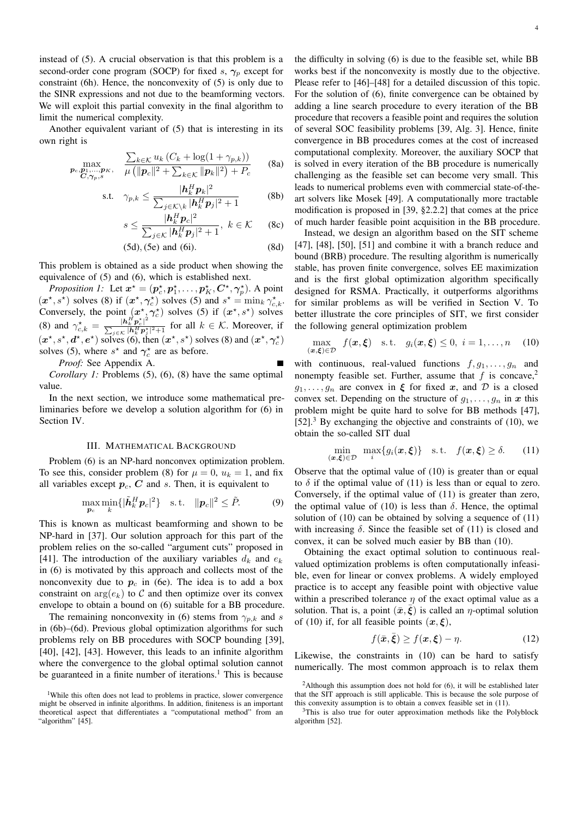instead of (5). A crucial observation is that this problem is a second-order cone program (SOCP) for fixed s,  $\gamma_p$  except for constraint (6h). Hence, the nonconvexity of (5) is only due to the SINR expressions and not due to the beamforming vectors. We will exploit this partial convexity in the final algorithm to limit the numerical complexity.

Another equivalent variant of (5) that is interesting in its own right is

$$
\max_{\substack{\boldsymbol{p}_c, \boldsymbol{p}_1, \dots, \boldsymbol{p}_K, \\ \boldsymbol{C}, \gamma_p, s}} \quad \frac{\sum_{k \in \mathcal{K}} u_k \left( C_k + \log(1 + \gamma_{p,k}) \right)}{\mu \left( \|\boldsymbol{p}_c\|^2 + \sum_{k \in \mathcal{K}} \|\boldsymbol{p}_k\|^2 \right) + P_c} \tag{8a}
$$

$$
\text{s.t.} \quad \gamma_{p,k} \le \frac{|h_k^H p_k|^2}{\sum_{j \in \mathcal{K} \backslash k} |h_k^H p_j|^2 + 1} \tag{8b}
$$

$$
s \le \frac{|\boldsymbol{h}_k^H \boldsymbol{p}_c|^2}{\sum_{j \in \mathcal{K}} |\boldsymbol{h}_k^H \boldsymbol{p}_j|^2 + 1}, \ k \in \mathcal{K} \qquad (8c)
$$

$$
(5d), (5e) \text{ and } (6i). \tag{8d}
$$

This problem is obtained as a side product when showing the equivalence of (5) and (6), which is established next.

*Proposition 1:* Let  $x^* = (p_c^*, p_1^*, \dots, p_K^*, C^*, \gamma_p^*)$ . A point  $(x^*, s^*)$  solves (8) if  $(x^*, \gamma_c^*)$  solves (5) and  $s^* = \min_k \gamma_{c,k}^*$ . Conversely, the point  $(x^*, \gamma_c^*)$  solves (5) if  $(x^*, s^*)$  solves (8) and  $\gamma_{c,k}^* = \frac{|\mathbf{h}_k^H \mathbf{p}_c^*|^2}{\sum_{i \in \mathcal{K}} |\mathbf{h}_k^H \mathbf{p}_i^*|}$  $\frac{|n_k p_c|}{\sum_{j \in \mathcal{K}} |h_k^H p_j^*|^2 + 1}$  for all  $k \in \mathcal{K}$ . Moreover, if  $(x^*, s^*, d^*, e^*)$  solves (6), then  $(x^*, s^*)$  solves (8) and  $(x^*, \gamma_c^*)$ solves (5), where  $s^*$  and  $\gamma_c^*$  are as before.

*Proof:* See Appendix A.

*Corollary 1:* Problems (5), (6), (8) have the same optimal value.

In the next section, we introduce some mathematical preliminaries before we develop a solution algorithm for (6) in Section IV.

## III. MATHEMATICAL BACKGROUND

Problem (6) is an NP-hard nonconvex optimization problem. To see this, consider problem (8) for  $\mu = 0$ ,  $u_k = 1$ , and fix all variables except  $p_c$ ,  $C$  and  $s$ . Then, it is equivalent to

$$
\max_{\boldsymbol{p}_c} \min_k \{ |\tilde{\boldsymbol{h}}_k^H \boldsymbol{p}_c|^2 \} \quad \text{s.t.} \quad ||\boldsymbol{p}_c||^2 \le \tilde{P}.
$$
 (9)

This is known as multicast beamforming and shown to be NP-hard in [37]. Our solution approach for this part of the problem relies on the so-called "argument cuts" proposed in [41]. The introduction of the auxiliary variables  $d_k$  and  $e_k$ in (6) is motivated by this approach and collects most of the nonconvexity due to  $p_c$  in (6e). The idea is to add a box constraint on  $arg(e_k)$  to C and then optimize over its convex envelope to obtain a bound on (6) suitable for a BB procedure.

The remaining nonconvexity in (6) stems from  $\gamma_{p,k}$  and s in (6b)–(6d). Previous global optimization algorithms for such problems rely on BB procedures with SOCP bounding [39], [40], [42], [43]. However, this leads to an infinite algorithm where the convergence to the global optimal solution cannot be guaranteed in a finite number of iterations.<sup>1</sup> This is because

the difficulty in solving (6) is due to the feasible set, while BB works best if the nonconvexity is mostly due to the objective. Please refer to [46]–[48] for a detailed discussion of this topic. For the solution of (6), finite convergence can be obtained by adding a line search procedure to every iteration of the BB procedure that recovers a feasible point and requires the solution of several SOC feasibility problems [39, Alg. 3]. Hence, finite convergence in BB procedures comes at the cost of increased computational complexity. Moreover, the auxiliary SOCP that is solved in every iteration of the BB procedure is numerically challenging as the feasible set can become very small. This leads to numerical problems even with commercial state-of-theart solvers like Mosek [49]. A computationally more tractable modification is proposed in [39, §2.2.2] that comes at the price of much harder feasible point acquisition in the BB procedure.

Instead, we design an algorithm based on the SIT scheme [47], [48], [50], [51] and combine it with a branch reduce and bound (BRB) procedure. The resulting algorithm is numerically stable, has proven finite convergence, solves EE maximization and is the first global optimization algorithm specifically designed for RSMA. Practically, it outperforms algorithms for similar problems as will be verified in Section V. To better illustrate the core principles of SIT, we first consider the following general optimization problem

$$
\max_{(\boldsymbol{x},\boldsymbol{\xi})\in\mathcal{D}} f(\boldsymbol{x},\boldsymbol{\xi}) \quad \text{s.t.} \quad g_i(\boldsymbol{x},\boldsymbol{\xi}) \leq 0, \ i = 1,\ldots,n \quad (10)
$$

with continuous, real-valued functions  $f, g_1, \ldots, g_n$  and nonempty feasible set. Further, assume that  $f$  is concave,<sup>2</sup>  $g_1, \ldots, g_n$  are convex in  $\xi$  for fixed x, and  $\mathcal D$  is a closed convex set. Depending on the structure of  $g_1, \ldots, g_n$  in x this problem might be quite hard to solve for BB methods [47],  $[52]$ .<sup>3</sup> By exchanging the objective and constraints of (10), we obtain the so-called SIT dual

$$
\min_{(\boldsymbol{x},\boldsymbol{\xi})\in\mathcal{D}}\ \ \max_{i}\{g_i(\boldsymbol{x},\boldsymbol{\xi})\} \quad \text{s.t.} \quad f(\boldsymbol{x},\boldsymbol{\xi})\geq \delta. \tag{11}
$$

Observe that the optimal value of (10) is greater than or equal to  $\delta$  if the optimal value of (11) is less than or equal to zero. Conversely, if the optimal value of (11) is greater than zero, the optimal value of (10) is less than  $\delta$ . Hence, the optimal solution of (10) can be obtained by solving a sequence of (11) with increasing  $\delta$ . Since the feasible set of (11) is closed and convex, it can be solved much easier by BB than (10).

Obtaining the exact optimal solution to continuous realvalued optimization problems is often computationally infeasible, even for linear or convex problems. A widely employed practice is to accept any feasible point with objective value within a prescribed tolerance  $\eta$  of the exact optimal value as a solution. That is, a point  $(\bar{x}, \bar{\xi})$  is called an  $\eta$ -optimal solution of (10) if, for all feasible points  $(x, \xi)$ ,

$$
f(\bar{\mathbf{x}}, \bar{\boldsymbol{\xi}}) \ge f(\mathbf{x}, \boldsymbol{\xi}) - \eta. \tag{12}
$$

Likewise, the constraints in (10) can be hard to satisfy numerically. The most common approach is to relax them

<sup>&</sup>lt;sup>1</sup>While this often does not lead to problems in practice, slower convergence might be observed in infinite algorithms. In addition, finiteness is an important theoretical aspect that differentiates a "computational method" from an "algorithm" [45].

<sup>&</sup>lt;sup>2</sup>Although this assumption does not hold for  $(6)$ , it will be established later that the SIT approach is still applicable. This is because the sole purpose of this convexity assumption is to obtain a convex feasible set in (11).

<sup>3</sup>This is also true for outer approximation methods like the Polyblock algorithm [52].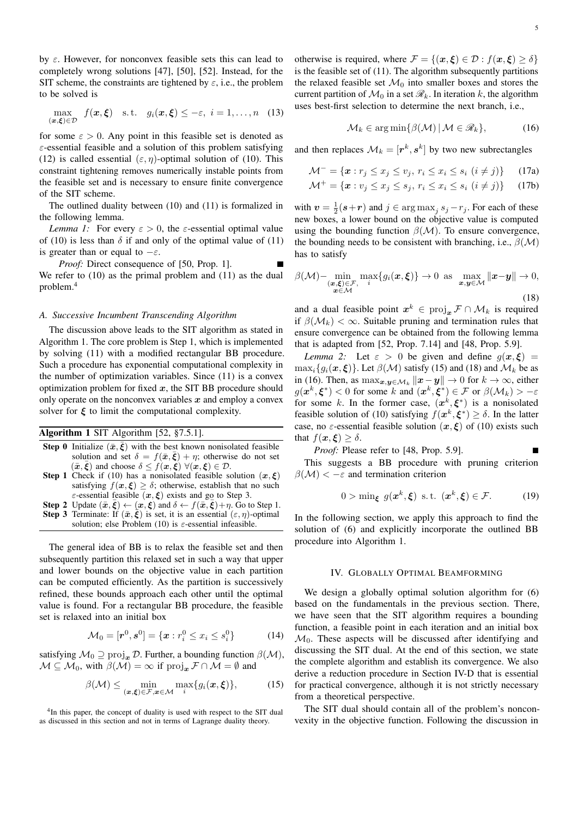$$
\max_{(\boldsymbol{x},\boldsymbol{\xi})\in\mathcal{D}} f(\boldsymbol{x},\boldsymbol{\xi}) \quad \text{s.t.} \quad g_i(\boldsymbol{x},\boldsymbol{\xi}) \leq -\varepsilon, \quad i=1,\ldots,n \quad (13)
$$

for some  $\varepsilon > 0$ . Any point in this feasible set is denoted as  $\varepsilon$ -essential feasible and a solution of this problem satisfying (12) is called essential  $(\varepsilon, \eta)$ -optimal solution of (10). This constraint tightening removes numerically instable points from the feasible set and is necessary to ensure finite convergence of the SIT scheme.

The outlined duality between (10) and (11) is formalized in the following lemma.

*Lemma 1:* For every  $\varepsilon > 0$ , the  $\varepsilon$ -essential optimal value of (10) is less than  $\delta$  if and only of the optimal value of (11) is greater than or equal to  $-\varepsilon$ .

*Proof:* Direct consequence of [50, Prop. 1]. We refer to (10) as the primal problem and (11) as the dual problem.<sup>4</sup>

#### *A. Successive Incumbent Transcending Algorithm*

The discussion above leads to the SIT algorithm as stated in Algorithm 1. The core problem is Step 1, which is implemented by solving (11) with a modified rectangular BB procedure. Such a procedure has exponential computational complexity in the number of optimization variables. Since (11) is a convex optimization problem for fixed  $x$ , the SIT BB procedure should only operate on the nonconvex variables  $x$  and employ a convex solver for  $\xi$  to limit the computational complexity.

## Algorithm 1 SIT Algorithm [52, §7.5.1].

- **Step 0** Initialize  $(\bar{x}, \bar{\xi})$  with the best known nonisolated feasible solution and set  $\delta = f(\bar{x}, \bar{\xi}) + \eta$ ; otherwise do not set  $(\bar{x}, \bar{\xi})$  and choose  $\delta \leq f(\bar{x}, \bar{\xi}) \ \forall (\bar{x}, \xi) \in \mathcal{D}$ .
- Step 1 Check if (10) has a nonisolated feasible solution  $(x, \xi)$ satisfying  $f(x,\xi) \geq \delta$ ; otherwise, establish that no such  $\varepsilon$ -essential feasible  $(x, \xi)$  exists and go to Step 3.
- **Step 2** Update  $(\bar{x}, \bar{\xi}) \leftarrow (\bar{x}, \xi)$  and  $\delta \leftarrow f(\bar{x}, \bar{\xi}) + \eta$ . Go to Step 1. **Step 3** Terminate: If  $(\bar{x}, \bar{\xi})$  is set, it is an essential  $(\varepsilon, \eta)$ -optimal solution; else Problem (10) is  $\varepsilon$ -essential infeasible.

The general idea of BB is to relax the feasible set and then subsequently partition this relaxed set in such a way that upper and lower bounds on the objective value in each partition can be computed efficiently. As the partition is successively refined, these bounds approach each other until the optimal value is found. For a rectangular BB procedure, the feasible set is relaxed into an initial box

$$
\mathcal{M}_0 = [\mathbf{r}^0, \mathbf{s}^0] = \{ \mathbf{x} : r_i^0 \le x_i \le s_i^0 \}
$$
 (14)

satisfying  $\mathcal{M}_0 \supseteq \text{proj}_x \mathcal{D}$ . Further, a bounding function  $\beta(\mathcal{M})$ ,  $\mathcal{M} \subseteq \mathcal{M}_0$ , with  $\beta(\mathcal{M}) = \infty$  if  $\text{proj}_{\mathbf{x}} \mathcal{F} \cap \mathcal{M} = \emptyset$  and

$$
\beta(\mathcal{M}) \le \min_{(\boldsymbol{x}, \boldsymbol{\xi}) \in \mathcal{F}, \boldsymbol{x} \in \mathcal{M}} \max_{i} \{ g_i(\boldsymbol{x}, \boldsymbol{\xi}) \},
$$
(15)

otherwise is required, where  $\mathcal{F} = \{(\boldsymbol{x}, \boldsymbol{\xi}) \in \mathcal{D} : f(\boldsymbol{x}, \boldsymbol{\xi}) > \delta\}$ is the feasible set of (11). The algorithm subsequently partitions the relaxed feasible set  $\mathcal{M}_0$  into smaller boxes and stores the current partition of  $\mathcal{M}_0$  in a set  $\mathcal{R}_k$ . In iteration k, the algorithm uses best-first selection to determine the next branch, i.e.,

$$
\mathcal{M}_k \in \arg\min\{\beta(\mathcal{M}) \,|\, \mathcal{M} \in \mathscr{R}_k\},\tag{16}
$$

and then replaces  $\mathcal{M}_k = [\mathbf{r}^k, \mathbf{s}^k]$  by two new subrectangles

$$
\mathcal{M}^- = \{ \boldsymbol{x} : r_j \le x_j \le v_j, \ r_i \le x_i \le s_i \ (i \ne j) \}
$$
 (17a)

$$
\mathcal{M}^+ = \{ \boldsymbol{x} : v_j \le x_j \le s_j, \ r_i \le x_i \le s_i \ (i \ne j) \} \tag{17b}
$$

with  $v = \frac{1}{2}(s+r)$  and  $j \in \arg \max_j s_j - r_j$ . For each of these new boxes, a lower bound on the objective value is computed using the bounding function  $\beta(\mathcal{M})$ . To ensure convergence, the bounding needs to be consistent with branching, i.e.,  $\beta(\mathcal{M})$ has to satisfy

$$
\beta(\mathcal{M})-\min_{\substack{(\boldsymbol{x},\boldsymbol{\xi})\in\mathcal{F},\\ \boldsymbol{x}\in\mathcal{M}}} \max_{i}\{g_i(\boldsymbol{x},\boldsymbol{\xi})\}\to 0 \text{ as } \max_{\boldsymbol{x},\boldsymbol{y}\in\mathcal{M}} \|\boldsymbol{x}-\boldsymbol{y}\|\to 0,
$$
\n(18)

and a dual feasible point  $x^k \in \text{proj}_x \mathcal{F} \cap \mathcal{M}_k$  is required if  $\beta(\mathcal{M}_k) < \infty$ . Suitable pruning and termination rules that ensure convergence can be obtained from the following lemma that is adapted from [52, Prop. 7.14] and [48, Prop. 5.9].

*Lemma 2:* Let  $\varepsilon > 0$  be given and define  $g(x, \xi) =$  $\max_i \{q_i(\mathbf{x}, \boldsymbol{\xi})\}\$ . Let  $\beta(\mathcal{M})$  satisfy (15) and (18) and  $\mathcal{M}_k$  be as in (16). Then, as  $\max_{\mathbf{x}, \mathbf{y} \in \mathcal{M}_k} ||\mathbf{x} - \mathbf{y}|| \to 0$  for  $k \to \infty$ , either  $g(x^k, \xi^*)$  < 0 for some k and  $(x^k, \xi^*) \in \mathcal{F}$  or  $\beta(\mathcal{M}_k) > -\varepsilon$ for some k. In the former case,  $(x^k, \xi^*)$  is a nonisolated feasible solution of (10) satisfying  $f(x^k, \xi^*) \ge \delta$ . In the latter case, no  $\varepsilon$ -essential feasible solution  $(x, \xi)$  of (10) exists such that  $f(x,\xi) \geq \delta$ .

*Proof:* Please refer to [48, Prop. 5.9].

This suggests a BB procedure with pruning criterion  $\beta(\mathcal{M}) < -\varepsilon$  and termination criterion

$$
0 > \min_{\xi} g(x^k, \xi) \text{ s.t. } (x^k, \xi) \in \mathcal{F}. \tag{19}
$$

In the following section, we apply this approach to find the solution of (6) and explicitly incorporate the outlined BB procedure into Algorithm 1.

#### IV. GLOBALLY OPTIMAL BEAMFORMING

We design a globally optimal solution algorithm for  $(6)$ based on the fundamentals in the previous section. There, we have seen that the SIT algorithm requires a bounding function, a feasible point in each iteration and an initial box  $\mathcal{M}_0$ . These aspects will be discussed after identifying and discussing the SIT dual. At the end of this section, we state the complete algorithm and establish its convergence. We also derive a reduction procedure in Section IV-D that is essential for practical convergence, although it is not strictly necessary from a theoretical perspective.

The SIT dual should contain all of the problem's nonconvexity in the objective function. Following the discussion in

<sup>&</sup>lt;sup>4</sup>In this paper, the concept of duality is used with respect to the SIT dual as discussed in this section and not in terms of Lagrange duality theory.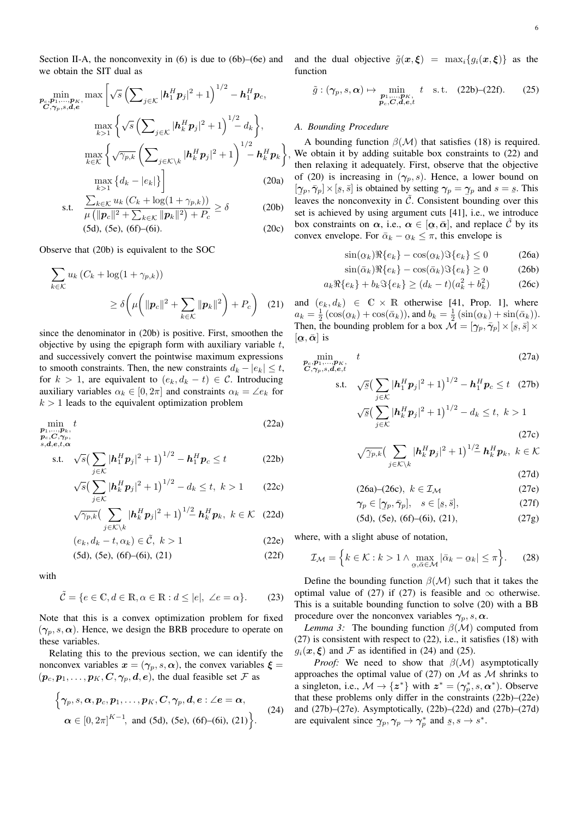Section II-A, the nonconvexity in  $(6)$  is due to  $(6b)$ – $(6e)$  and we obtain the SIT dual as

$$
\min_{\substack{\boldsymbol{p}_c, \boldsymbol{p}_1, \dots, \boldsymbol{p}_K \\ C, \gamma_p, s, \boldsymbol{d}, e}} \max \left[ \sqrt{s} \left( \sum_{j \in \mathcal{K}} |\boldsymbol{h}_1^H \boldsymbol{p}_j|^2 + 1 \right)^{1/2} - \boldsymbol{h}_1^H \boldsymbol{p}_c, \right. \n\max_{k > 1} \left\{ \sqrt{s} \left( \sum_{j \in \mathcal{K}} |\boldsymbol{h}_k^H \boldsymbol{p}_j|^2 + 1 \right)^{1/2} - d_k \right\},\n\max_{k \in \mathcal{K}} \left\{ \sqrt{\gamma_{p,k}} \left( \sum_{j \in \mathcal{K} \backslash k} |\boldsymbol{h}_k^H \boldsymbol{p}_j|^2 + 1 \right)^{1/2} - \boldsymbol{h}_k^H \boldsymbol{p}_k \right\} \max_{k > 1} \left\{ d_k - |e_k| \right\} \right] \tag{20a}
$$

$$
\text{s.t.} \quad \frac{\sum_{k \in \mathcal{K}} u_k \left( C_k + \log(1 + \gamma_{p,k}) \right)}{\mu \left( \|\boldsymbol{p}_c\|^2 + \sum_{k \in \mathcal{K}} \|\boldsymbol{p}_k\|^2 \right) + P_c} \ge \delta \tag{20b}
$$

$$
(5d), (5e), (6f)–(6i). \t(20c)
$$

Observe that (20b) is equivalent to the SOC

$$
\sum_{k \in \mathcal{K}} u_k (C_k + \log(1 + \gamma_{p,k}))
$$
\n
$$
\geq \delta \left( \mu \left( \|\mathbf{p}_c\|^2 + \sum_{k \in \mathcal{K}} \|\mathbf{p}_k\|^2 \right) + P_c \right) \tag{21}
$$

since the denominator in (20b) is positive. First, smoothen the objective by using the epigraph form with auxiliary variable  $t$ , and successively convert the pointwise maximum expressions to smooth constraints. Then, the new constraints  $d_k - |e_k| \leq t$ , for  $k > 1$ , are equivalent to  $(e_k, d_k - t) \in \mathcal{C}$ . Introducing auxiliary variables  $\alpha_k \in [0, 2\pi]$  and constraints  $\alpha_k = \angle e_k$  for  $k > 1$  leads to the equivalent optimization problem

$$
\min_{\substack{\mathbf{p}_1,\ldots,\mathbf{p}_k,\\ \mathbf{p}_c,\mathbf{C},\gamma_p,\\s,d,e,t,\alpha}} t
$$
\n(22a)

s.t. 
$$
\sqrt{s} \left( \sum_{j \in \mathcal{K}} |\mathbf{h}_1^H \mathbf{p}_j|^2 + 1 \right)^{1/2} - \mathbf{h}_1^H \mathbf{p}_c \le t
$$
 (22b)

$$
\sqrt{s} \left( \sum_{j \in \mathcal{K}} |\mathbf{h}_k^H \mathbf{p}_j|^2 + 1 \right)^{1/2} - d_k \le t, \ k > 1 \tag{22c}
$$

$$
\sqrt{\gamma_{p,k}} \big( \sum_{j \in \mathcal{K} \setminus k} |\boldsymbol{h}_k^H \boldsymbol{p}_j|^2 + 1 \big)^{1/2} \boldsymbol{h}_k^H \boldsymbol{p}_k, \ k \in \mathcal{K} \quad (22d)
$$

$$
(e_k, d_k - t, \alpha_k) \in \tilde{\mathcal{C}}, \ k > 1
$$
\n
$$
(22e)
$$
\n
$$
(5d) (5e) (6f) (6i) (21)
$$
\n
$$
(22f)
$$

$$
(5d), (5e), (6f)–(6i), (21)
$$
 (22f)

with

$$
\tilde{\mathcal{C}} = \{ e \in \mathbb{C}, d \in \mathbb{R}, \alpha \in \mathbb{R} : d \le |e|, \ \angle e = \alpha \}. \tag{23}
$$

Note that this is a convex optimization problem for fixed  $(\gamma_p, s, \alpha)$ . Hence, we design the BRB procedure to operate on these variables.

Relating this to the previous section, we can identify the nonconvex variables  $x = (\gamma_p, s, \alpha)$ , the convex variables  $\xi =$  $(p_c, p_1, \ldots, p_K, C, \gamma_p, d, e)$ , the dual feasible set  $\mathcal F$  as

$$
\left\{\gamma_p, s, \boldsymbol{\alpha}, p_c, p_1, \ldots, p_K, C, \gamma_p, d, e : \angle e = \boldsymbol{\alpha},
$$
  
\n
$$
\boldsymbol{\alpha} \in [0, 2\pi]^{K-1}, \text{ and (5d), (5e), (6f)-(6i), (21)}\right\}.
$$
 (24)

and the dual objective  $\tilde{g}(\boldsymbol{x}, \boldsymbol{\xi}) = \max_i \{g_i(\boldsymbol{x}, \boldsymbol{\xi})\}\$ as the function

$$
\tilde{g}: (\gamma_p, s, \alpha) \mapsto \min_{\substack{\mathbf{p}_1, \dots, \mathbf{p}_K, \\ \mathbf{p}_c, \mathbf{C}, \mathbf{d}, \mathbf{e}, t}} t \quad \text{s.t.} \quad (22b)-(22f). \tag{25}
$$

#### *A. Bounding Procedure*

, We obtain it by adding suitable box constraints to (22) and A bounding function  $\beta(\mathcal{M})$  that satisfies (18) is required. then relaxing it adequately. First, observe that the objective of (20) is increasing in  $(\gamma_p, s)$ . Hence, a lower bound on  $[\gamma_p, \bar{\gamma}_p] \times [s, \bar{s}]$  is obtained by setting  $\gamma_p = \gamma_p$  and  $s = \bar{s}$ . This  $\lim_{(1,p), (p_1) \to (g, e_1]}$  to scaling by setting  $\lim_{(1,p)} \lim_{(1,p)} \lim_{(1,p)} \lim_{(1,p)} \lim_{(1,p)} \lim_{(1,p)} \lim_{(1,p)} \lim_{(1,p)} \lim_{(1,p)} \lim_{(1,p)} \lim_{(1,p)} \lim_{(1,p)} \lim_{(1,p)} \lim_{(1,p)} \lim_{(1,p)} \lim_{(1,p)} \lim_{(1,p)} \lim_{(1,p)} \lim_{(1,p)} \lim_{(1,p)} \lim_{(1,p)} \lim_{(1,p)} \lim_{(1,p)} \lim_{(1,p)} \lim_{(1,p$ set is achieved by using argument cuts [41], i.e., we introduce box constraints on  $\alpha$ , i.e.,  $\alpha \in [\alpha, \bar{\alpha}]$ , and replace  $\tilde{C}$  by its convex envelope. For  $\bar{\alpha}_k - \alpha_k \leq \pi$ , this envelope is

$$
\sin(\alpha_k)\Re\{e_k\} - \cos(\alpha_k)\Im\{e_k\} \le 0 \tag{26a}
$$

$$
\sin(\bar{\alpha}_k)\Re\{e_k\} - \cos(\bar{\alpha}_k)\Im\{e_k\} \ge 0
$$
 (26b)

$$
a_k \Re\{e_k\} + b_k \Im\{e_k\} \ge (d_k - t)(a_k^2 + b_k^2) \tag{26c}
$$

and  $(e_k, d_k) \in \mathbb{C} \times \mathbb{R}$  otherwise [41, Prop. 1], where  $a_k = \frac{1}{2} \left( \cos(\alpha_k) + \cos(\bar{\alpha}_k) \right)$ , and  $b_k = \frac{1}{2} \left( \sin(\alpha_k) + \sin(\bar{\alpha}_k) \right)$ . Then, the bounding problem for a box  $\mathcal{M} = [\gamma_p, \bar{\gamma}_p] \times [s, \bar{s}] \times$ ¯  $[\boldsymbol{\alpha}, \bar{\boldsymbol{\alpha}}]$  is

$$
\min_{\mathbf{C}, \mathbf{p}_1, \dots, \mathbf{p}_K, \atop \mathbf{C}, \gamma_p, s, d, e, t} \text{ (27a)}
$$
\n
$$
\text{s.t.} \quad \sqrt{\underline{s}} \big( \sum_{j \in \mathcal{K}} |\mathbf{h}_1^H \mathbf{p}_j|^2 + 1 \big)^{1/2} - \mathbf{h}_1^H \mathbf{p}_c \le t \quad \text{(27b)}
$$
\n
$$
\sqrt{\underline{s}} \big( \sum_{j \in \mathcal{K}} |\mathbf{h}_k^H \mathbf{p}_j|^2 + 1 \big)^{1/2} - d_k \le t, \ k > 1
$$
\n
$$
\tag{27c}
$$

$$
\sqrt{\gamma_{p,k}}\big(\sum_{j\in\mathcal{K}\backslash k}|{\boldsymbol{h}}_k^H{\boldsymbol{p}}_j|^2+1\big)^{1/2}\ {\boldsymbol{h}}_k^H{\boldsymbol{p}}_k,\ k\in\mathcal{K}
$$

(27d)  $(26a)$ – $(26c)$ ,  $k \in \mathcal{T}_{14}$  (27e)

$$
\begin{array}{ll}\n\text{(20a)} - \text{(20c)}, & \kappa \in \mathcal{I} \mathcal{M} \\
\gamma \in [\alpha, \bar{\gamma}] & \kappa \in [\kappa, \bar{\kappa}] & \text{(27f)}\n\end{array}
$$

$$
\gamma_p \in [\gamma_p, \bar{\gamma}_p], \quad s \in [s, \bar{s}], \tag{27f}
$$

$$
(5d), (5e), (6f)–(6i), (21), \t(27g)
$$

where, with a slight abuse of notation,

$$
\mathcal{I}_{\mathcal{M}} = \left\{ k \in \mathcal{K} : k > 1 \land \max_{\alpha, \bar{\alpha} \in \mathcal{M}} |\bar{\alpha}_k - \alpha_k| \le \pi \right\}.
$$
 (28)

Define the bounding function  $\beta(\mathcal{M})$  such that it takes the optimal value of (27) if (27) is feasible and  $\infty$  otherwise. This is a suitable bounding function to solve (20) with a BB procedure over the nonconvex variables  $\gamma_p$ , s,  $\alpha$ .

*Lemma 3:* The bounding function  $\beta(\mathcal{M})$  computed from (27) is consistent with respect to (22), i.e., it satisfies (18) with  $g_i(\mathbf{x}, \boldsymbol{\xi})$  and  $\mathcal F$  as identified in (24) and (25).

*Proof:* We need to show that  $\beta(\mathcal{M})$  asymptotically approaches the optimal value of (27) on  $\mathcal M$  as  $\mathcal M$  shrinks to a singleton, i.e.,  $\mathcal{M} \rightarrow \{z^*\}$  with  $z^* = (\gamma_p^*, s, \alpha^*)$ . Observe that these problems only differ in the constraints (22b)–(22e) and (27b)–(27e). Asymptotically, (22b)–(22d) and (27b)–(27d) are equivalent since  $\gamma_p, \gamma_p \to \gamma_p^*$  and  $\underline{s}, s \to s^*$ .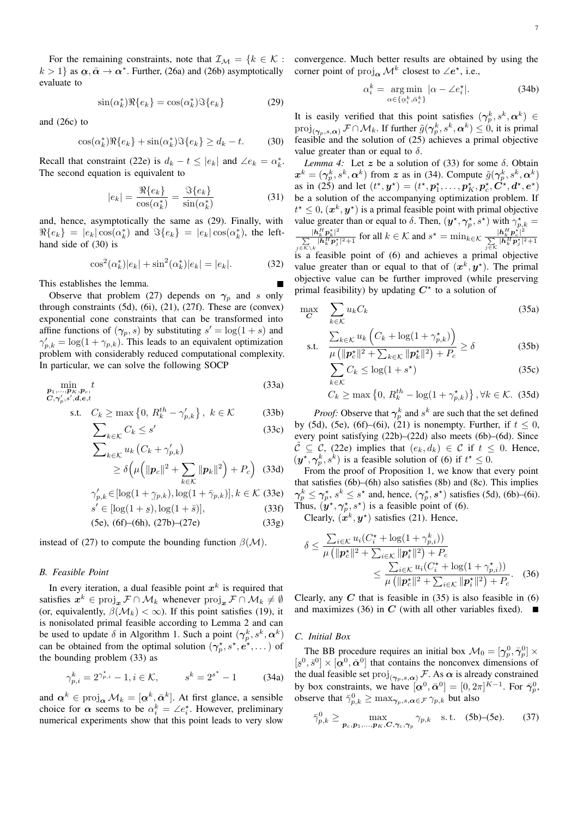$k > 1$ } as  $\alpha, \bar{\alpha} \to \alpha^*$ . Further, (26a) and (26b) asymptotically evaluate to

$$
\sin(\alpha_k^*) \Re\{e_k\} = \cos(\alpha_k^*) \Im\{e_k\} \tag{29}
$$

and (26c) to

$$
\cos(\alpha_k^*) \Re\{e_k\} + \sin(\alpha_k^*) \Im\{e_k\} \ge d_k - t. \tag{30}
$$

Recall that constraint (22e) is  $d_k - t \le |e_k|$  and  $\angle e_k = \alpha_k^*$ . The second equation is equivalent to

$$
|e_k| = \frac{\Re\{e_k\}}{\cos(\alpha_k^*)} = \frac{\Im\{e_k\}}{\sin(\alpha_k^*)}
$$
(31)

and, hence, asymptotically the same as (29). Finally, with  $\Re\{e_k\} = |e_k| \cos(\alpha_k^*)$  and  $\Im\{e_k\} = |e_k| \cos(\alpha_k^*)$ , the lefthand side of (30) is

$$
\cos^{2}(\alpha_{k}^{*})|e_{k}| + \sin^{2}(\alpha_{k}^{*})|e_{k}| = |e_{k}|.
$$
 (32)

This establishes the lemma.

Observe that problem (27) depends on  $\gamma_p$  and s only through constraints (5d), (6i), (21), (27f). These are (convex) exponential cone constraints that can be transformed into affine functions of  $(\gamma_p, s)$  by substituting  $s' = \log(1 + s)$  and  $\gamma'_{p,k} = \log(1 + \gamma_{p,k})$ . This leads to an equivalent optimization problem with considerably reduced computational complexity. In particular, we can solve the following SOCP

$$
\min_{\substack{\mathbf{p}_1,\ldots,\mathbf{p}_K,\mathbf{p}_c,\\ \mathbf{C},\gamma_p',s',\mathbf{d},\mathbf{e},t}} t
$$
\n(33a)

s.t. 
$$
C_k \ge \max\left\{0, R_k^{th} - \gamma'_{p,k}\right\}, k \in \mathcal{K}
$$
 (33b)

$$
\sum_{k \in \mathcal{K}} C_k \le s' \tag{33c}
$$

$$
\sum_{k \in \mathcal{K}} u_k (C_k + \gamma'_{p,k})
$$
  
\n
$$
\geq \delta \left( \mu \left( ||\mathbf{p}_c||^2 + \sum_{k \in \mathcal{K}} ||\mathbf{p}_k||^2 \right) + P_c \right)
$$
 (33d)

$$
\gamma'_{p,k} \in [\log(1 + \gamma_{p,k}), \log(1 + \bar{\gamma}_{p,k})], k \in \mathcal{K}
$$
 (33e)

$$
s' \in [\log(1+s), \log(1+\bar{s})],\tag{33f}
$$

$$
(5e), (6f)–(6h), (27b)–(27e)
$$
 (33g)

instead of (27) to compute the bounding function  $\beta(\mathcal{M})$ .

#### *B. Feasible Point*

In every iteration, a dual feasible point  $x^k$  is required that satisfies  $x^k \in \text{proj}_x \, \mathcal{F} \cap \mathcal{M}_k$  whenever  $\text{proj}_x \, \mathcal{F} \cap \mathcal{M}_k \neq \emptyset$ (or, equivalently,  $\beta(\mathcal{M}_k) < \infty$ ). If this point satisfies (19), it is nonisolated primal feasible according to Lemma 2 and can be used to update  $\delta$  in Algorithm 1. Such a point  $(\gamma_p^k, s^k, \alpha^k)$ can be obtained from the optimal solution  $(\gamma_p^*, s^*, e^*, \dots)$  of the bounding problem (33) as

$$
\gamma_{p,i}^k = 2^{\gamma_{p,i}^*} - 1, i \in \mathcal{K}, \qquad s^k = 2^{s^*} - 1 \tag{34a}
$$

and  $\alpha^k \in \text{proj}_{\alpha} \mathcal{M}_k = [\alpha^k, \bar{\alpha}^k]$ . At first glance, a sensible choice for  $\alpha$  seems to be  $\alpha_i^k = \angle e_i^*$ . However, preliminary numerical experiments show that this point leads to very slow

For the remaining constraints, note that  $\mathcal{I}_{\mathcal{M}} = \{k \in \mathcal{K} :$  convergence. Much better results are obtained by using the corner point of  $\text{proj}_{\alpha} \mathcal{M}^k$  closest to ∠e<sup>\*</sup>, i.e.,

$$
\alpha_i^k = \underset{\alpha \in \{\alpha_i^k, \bar{\alpha}_i^k\}}{\arg \min} |\alpha - \angle e_i^*|.
$$
 (34b)

It is easily verified that this point satisfies  $(\gamma_p^k, s^k, \alpha^k) \in$  $\text{proj}_{(\boldsymbol{\gamma}_p, s, \boldsymbol{\alpha})} \mathcal{F} \cap \mathcal{M}_k$ . If further  $\tilde{g}(\boldsymbol{\gamma}_p^k, s^k, \boldsymbol{\alpha}^k) \leq \hat{0}$ , it is primal feasible and the solution of (25) achieves a primal objective value greater than or equal to  $\delta$ .

*Lemma 4:* Let z be a solution of (33) for some  $\delta$ . Obtain  $x^k = (\gamma_p^k, s^k, \alpha^k)$  from z as in (34). Compute  $\tilde{g}(\gamma_p^k, s^k, \alpha^k)$ as in (25) and let  $(t^*, y^*) = (t^*, p_1^*, \dots, p_K^*, p_c^*, C^*, d^*, e^*)$ be a solution of the accompanying optimization problem. If  $t^* \leq 0$ ,  $(\mathbf{x}^k, \mathbf{y}^*)$  is a primal feasible point with primal objective value greater than or equal to  $\delta$ . Then,  $(\mathbf{y}^*, \gamma_p^*, s^*)$  with  $\gamma_{p,k}^* =$  $|\bm{h}_k^H\bm{p}_k^{\star}|$  $\frac{|\mathbf{h}_k^H \mathbf{p}_k^{\star}|^2}{\sum\limits_{j \in \mathcal{K} \setminus k} |\mathbf{h}_k^H \mathbf{p}_j^{\star}|^2 + 1}$  for all  $k \in \mathcal{K}$  and  $s^{\star} = \min_{k \in \mathcal{K}} \frac{|\mathbf{h}_k^H \mathbf{p}_c^{\star}|^2}{\sum\limits_{j \in \mathcal{K}} |\mathbf{h}_k^H \mathbf{p}_j^{\star}|^2}$  $\sum\limits_{j \in \mathcal{K}} \vert \boldsymbol{h}_k^H \boldsymbol{p}_j^{\star} \vert^2 + 1$ is a feasible point of  $(6)$  and achieves a primal objective value greater than or equal to that of  $(x^k, y^*)$ . The primal

objective value can be further improved (while preserving primal feasibility) by updating  $C^*$  to a solution of

$$
\max_{\mathbf{C}} \quad \sum_{k \in \mathcal{K}} u_k C_k \tag{35a}
$$

$$
\text{s.t.} \quad \frac{\sum_{k \in \mathcal{K}} u_k \left( C_k + \log(1 + \gamma_{p,k}^{\star}) \right)}{\mu \left( \| \mathbf{p}_c^{\star} \|^2 + \sum_{k \in \mathcal{K}} \| \mathbf{p}_k^{\star} \|^2 \right) + P_c} \ge \delta \tag{35b}
$$

$$
\sum_{k \in \mathcal{K}} C_k \le \log(1 + s^\star) \tag{35c}
$$

$$
C_k \ge \max\left\{0, R_k^{th} - \log(1 + \gamma_{p,k}^{\star})\right\}, \forall k \in \mathcal{K}.
$$
 (35d)

*Proof:* Observe that  $\gamma_p^k$  and  $s^k$  are such that the set defined by (5d), (5e), (6f)–(6i), (21) is nonempty. Further, if  $t \leq 0$ , every point satisfying (22b)–(22d) also meets (6b)–(6d). Since  $\mathcal{C} \subseteq \mathcal{C}$ , (22e) implies that  $(e_k, d_k) \in \mathcal{C}$  if  $t \leq 0$ . Hence,  $(\mathbf{y}^*, \gamma_p^k, s^k)$  is a feasible solution of (6) if  $t^* \leq 0$ .

From the proof of Proposition 1, we know that every point that satisfies (6b)–(6h) also satisfies (8b) and (8c). This implies  $\gamma_p^k \leq \gamma_p^*$ ,  $s^k \leq s^*$  and, hence,  $(\gamma_p^*, s^*)$  satisfies (5d), (6b)–(6i). Thus,  $(\mathbf{y}^*, \gamma_p^*, s^*)$  is a feasible point of (6).

Clearly,  $(\mathbf{x}^k, \mathbf{y}^*)$  satisfies (21). Hence,

$$
\delta \leq \frac{\sum_{i \in \mathcal{K}} u_i (C_i^* + \log(1 + \gamma_{p,i}^k))}{\mu \left( \|\mathbf{p}_c^*\|^2 + \sum_{i \in \mathcal{K}} \|\mathbf{p}_i^*\|^2 \right) + P_c}
$$
\n
$$
\leq \frac{\sum_{i \in \mathcal{K}} u_i (C_i^* + \log(1 + \gamma_{p,i}^*))}{\mu \left( \|\mathbf{p}_c^*\|^2 + \sum_{i \in \mathcal{K}} \|\mathbf{p}_i^*\|^2 \right) + P_c}.
$$
\n(36)

Clearly, any  $C$  that is feasible in (35) is also feasible in (6) and maximizes (36) in  $C$  (with all other variables fixed).

#### *C. Initial Box*

The BB procedure requires an initial box  $\mathcal{M}_0 = [\gamma_p^0, \bar{\gamma}_p^0] \times$  $[s^0, \bar{s}^0] \times [\alpha^0, \bar{\alpha}^0]$  that contains the nonconvex dimensions of the dual feasible set  $\text{proj}_{(\gamma_p, s, \alpha)} \mathcal{F}$ . As  $\alpha$  is already constrained by box constraints, we have  $[\alpha^0, \bar{\alpha}^0] = [0, 2\pi]^{K-1}$ . For  $\bar{\gamma}_p^0$ , by box constraints, we have  $[\underline{\alpha}, \alpha] = [0, 2\pi]$ <br>observe that  $\overline{\gamma}_{p,k}^0 \ge \max_{\gamma_p, s, \alpha \in \mathcal{F}} \gamma_{p,k}$  but also

$$
\bar{\gamma}_{p,k}^0 \geq \max_{\boldsymbol{p}_c, \boldsymbol{p}_1, \dots, \boldsymbol{p}_K, \boldsymbol{C}, \boldsymbol{\gamma}_c, \boldsymbol{\gamma}_p} \gamma_{p,k} \quad \text{s.t.} \quad (5b)-(5e). \tag{37}
$$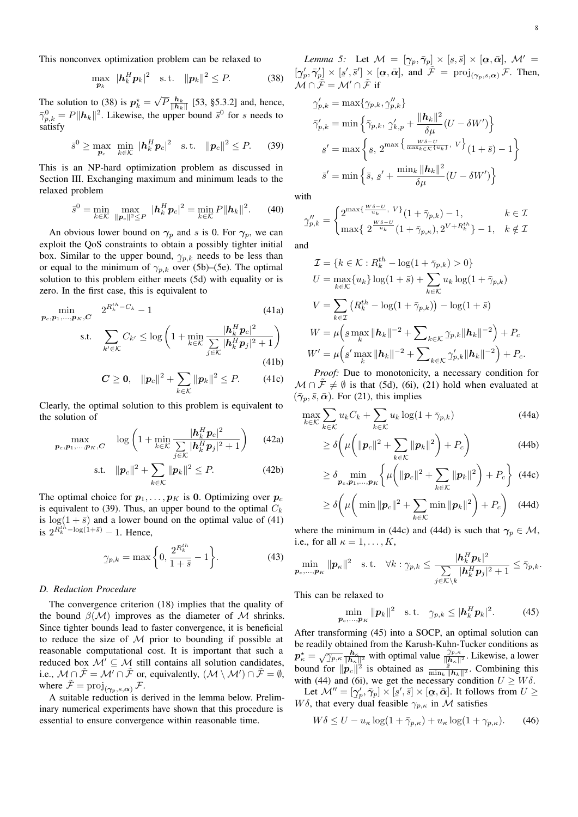This nonconvex optimization problem can be relaxed to

$$
\max_{\boldsymbol{p}_k} \ |\boldsymbol{h}_k^H \boldsymbol{p}_k|^2 \quad \text{s.t.} \quad \|\boldsymbol{p}_k\|^2 \leq P. \tag{38}
$$

The solution to (38) is  $p_k^* =$ √  $\overline{P}$  $\frac{h_k}{\|h_k\|}$  [53, §5.3.2] and, hence,  $\bar{\gamma}_{p,k}^0 = P \|\mathbf{h}_k\|^2$ . Likewise, the upper bound  $\bar{s}^0$  for s needs to satisfy

$$
\bar{s}^0 \geq \max_{\boldsymbol{p}_c} \ \min_{k \in \mathcal{K}} \ |\boldsymbol{h}_k^H \boldsymbol{p}_c|^2 \quad \text{s.t.} \ \ \|\boldsymbol{p}_c\|^2 \leq P. \tag{39}
$$

This is an NP-hard optimization problem as discussed in Section III. Exchanging maximum and minimum leads to the relaxed problem

$$
\bar{s}^{0} = \min_{k \in \mathcal{K}} \max_{\|\bm{p}_c\|^2 \leq P} |\bm{h}_k^H \bm{p}_c|^2 = \min_{k \in \mathcal{K}} P \|\bm{h}_k\|^2. \tag{40}
$$

An obvious lower bound on  $\gamma_p$  and s is 0. For  $\gamma_p$ , we can exploit the QoS constraints to obtain a possibly tighter initial box. Similar to the upper bound,  $\gamma_{p,k}$  needs to be less than or equal to the minimum of  $\gamma_{p,k}$  over (5b)–(5e). The optimal solution to this problem either meets (5d) with equality or is zero. In the first case, this is equivalent to

$$
\min_{\boldsymbol{p}_c, \boldsymbol{p}_1, ..., \boldsymbol{p}_K, \boldsymbol{C}} \quad 2^{R_k^{th} - C_k} - 1 \tag{41a}
$$

$$
\text{s.t.} \quad \sum_{k' \in \mathcal{K}} C_{k'} \le \log \left( 1 + \min_{k \in \mathcal{K}} \frac{|h_k^H p_c|^2}{\sum_{j \in \mathcal{K}} |h_k^H p_j|^2 + 1} \right) \tag{41b}
$$

$$
C \ge 0, \quad \|p_c\|^2 + \sum_{k \in \mathcal{K}} \|p_k\|^2 \le P. \tag{41c}
$$

Clearly, the optimal solution to this problem is equivalent to the solution of

$$
\max_{\boldsymbol{p}_c, \boldsymbol{p}_1, \dots, \boldsymbol{p}_K, \boldsymbol{C}} \quad \log \left( 1 + \min_{k \in \mathcal{K}} \frac{|\boldsymbol{h}_k^H \boldsymbol{p}_c|^2}{\sum\limits_{j \in \mathcal{K}} |\boldsymbol{h}_k^H \boldsymbol{p}_j|^2 + 1} \right) \tag{42a}
$$

s.t. 
$$
||\mathbf{p}_c||^2 + \sum_{k \in \mathcal{K}} ||\mathbf{p}_k||^2 \le P.
$$
 (42b)

The optimal choice for  $p_1, \ldots, p_K$  is 0. Optimizing over  $p_c$ is equivalent to (39). Thus, an upper bound to the optimal  $C_k$ is  $log(1 + \bar{s})$  and a lower bound on the optimal value of (41) is  $2^{\bar{R}_k^{th} - \log(1+\bar{s})} - 1$ . Hence,

$$
\gamma_{p,k} = \max\left\{0, \frac{2^{R_k^{th}}}{1+\bar{s}} - 1\right\}.
$$
 (43)

## *D. Reduction Procedure*

The convergence criterion (18) implies that the quality of the bound  $\beta(\mathcal{M})$  improves as the diameter of  $\mathcal M$  shrinks. Since tighter bounds lead to faster convergence, it is beneficial to reduce the size of  $M$  prior to bounding if possible at reasonable computational cost. It is important that such a reduced box  $\mathcal{M}' \subseteq \mathcal{M}$  still contains all solution candidates, i.e.,  $M \cap \tilde{\mathcal{F}} = \mathcal{M}' \cap \tilde{\mathcal{F}}$  or, equivalently,  $(\mathcal{M} \setminus \mathcal{M}') \cap \tilde{\mathcal{F}} = \emptyset$ , where  $\tilde{\mathcal{F}} = \text{proj}_{(\gamma_n, s, \alpha)} \mathcal{F}$ .

A suitable reduction is derived in the lemma below. Preliminary numerical experiments have shown that this procedure is essential to ensure convergence within reasonable time.

*Lemma 5:* Let  $\mathcal{M} = [\gamma_p, \bar{\gamma}_p] \times [s, \bar{s}] \times [\alpha, \bar{\alpha}], \mathcal{M}' =$  $[\gamma_p^{\prime}, \bar{\gamma}_p^{\prime}] \times [\underline{s}', \bar{s}'] \times [\alpha, \bar{\alpha}],$  and  $\tilde{\mathcal{F}} = \text{proj}_{(\gamma_p, s, \alpha)} \mathcal{F}$ . Then,  $\mathcal{M} \cap \tilde{\mathcal{F}} = \mathcal{M}' \cap \tilde{\mathcal{F}}$  if

$$
\gamma_{p,k} = \max\{\gamma_{p,k}, \gamma_{p,k}''\}
$$
  

$$
\bar{\gamma}_{p,k}' = \min\left\{\bar{\gamma}_{p,k}, \gamma_{k,p}' + \frac{\|\mathbf{h}_k\|^2}{\delta \mu}(U - \delta W')\right\}
$$
  

$$
\underline{s}' = \max\left\{\underline{s}, 2^{\max\left\{\frac{W\delta - U}{\max_{k \in K}\{u_k\}}, V\right\}}(1 + \bar{s}) - 1\right\}
$$
  

$$
\bar{s}' = \min\left\{\bar{s}, \underline{s}' + \frac{\min_k \|\mathbf{h}_k\|^2}{\delta \mu}(U - \delta W')\right\}
$$

with

$$
\gamma_{p,k}'' = \begin{cases} 2^{\max\{\frac{W\delta - U}{u_k}, V\}} (1 + \bar{\gamma}_{p,k}) - 1, & k \in \mathcal{I} \\ \max\{2^{\frac{W\delta - U}{u_k}} (1 + \bar{\gamma}_{p,k}), 2^{V + R_k^{th}} \} - 1, & k \notin \mathcal{I} \end{cases}
$$

and

$$
\mathcal{I} = \{k \in \mathcal{K} : R_k^{th} - \log(1 + \bar{\gamma}_{p,k}) > 0\}
$$
  
\n
$$
U = \max_{k \in \mathcal{K}} \{u_k\} \log(1 + \bar{s}) + \sum_{k \in \mathcal{K}} u_k \log(1 + \bar{\gamma}_{p,k})
$$
  
\n
$$
V = \sum_{k \in \mathcal{I}} (R_k^{th} - \log(1 + \bar{\gamma}_{p,k})) - \log(1 + \bar{s})
$$
  
\n
$$
W = \mu \left( \sup_k ||h_k||^{-2} + \sum_{k \in \mathcal{K}} \gamma_{p,k} ||h_k||^{-2} \right) + P_c
$$
  
\n
$$
W' = \mu \left( \sup_k ||h_k||^{-2} + \sum_{k \in \mathcal{K}} \gamma_{p,k} ||h_k||^{-2} \right) + P_c.
$$

*Proof:* Due to monotonicity, a necessary condition for  $M \cap \mathcal{F} \neq \emptyset$  is that (5d), (6i), (21) hold when evaluated at  $(\bar{\gamma}_p, \bar{s}, \bar{\boldsymbol{\alpha}})$ . For (21), this implies

$$
\max_{k \in \mathcal{K}} \sum_{k \in \mathcal{K}} u_k C_k + \sum_{k \in \mathcal{K}} u_k \log(1 + \bar{\gamma}_{p,k})
$$
\n(44a)

$$
\geq \delta \left( \mu \left( \|\boldsymbol{p}_c\|^2 + \sum_{k \in \mathcal{K}} \|\boldsymbol{p}_k\|^2 \right) + P_c \right) \tag{44b}
$$

$$
\geq \delta \min_{\boldsymbol{p}_c, \boldsymbol{p}_1, \dots, \boldsymbol{p}_K} \left\{ \mu \left( \|\boldsymbol{p}_c\|^2 + \sum_{k \in \mathcal{K}} \|\boldsymbol{p}_k\|^2 \right) + P_c \right\} \tag{44c}
$$

$$
\geq \delta \bigg( \mu \bigg( \min \| \boldsymbol{p}_c \|^2 + \sum_{k \in \mathcal{K}} \min \| \boldsymbol{p}_k \|^2 \bigg) + P_c \bigg) \quad (44d)
$$

where the minimum in (44c) and (44d) is such that  $\gamma_p \in \mathcal{M}$ , i.e., for all  $\kappa = 1, \ldots, K$ ,

$$
\min_{\boldsymbol{p}_c,\ldots,\boldsymbol{p}_K}\|\boldsymbol{p}_\kappa\|^2\quad\text{s.t.}\quad\forall k:\gamma_{\boldsymbol{p},k}\le\frac{|\boldsymbol{h}_k^H\boldsymbol{p}_k|^2}{\sum\limits_{j\in\mathcal{K}\backslash k}|\boldsymbol{h}_k^H\boldsymbol{p}_j|^2+1}\le\bar{\gamma}_{\boldsymbol{p},k}.
$$

This can be relaxed to

$$
\min_{\boldsymbol{p}_c,\dots,\boldsymbol{p}_K} \|\boldsymbol{p}_k\|^2 \quad \text{s.t.} \quad \gamma_{\boldsymbol{p},k} \le |\boldsymbol{h}_k^H \boldsymbol{p}_k|^2. \tag{45}
$$

After transforming (45) into a SOCP, an optimal solution can be readily obtained from the Karush-Kuhn-Tucker conditions as  $p_{\kappa}^{\star} = \sqrt{\frac{\mu_{\kappa}^{\star}}{2\pi}}$  $\frac{h_{\kappa}}{[\bar{p}_{\kappa}|\bar{h}_{\kappa}|^2]}$  with optimal value  $\frac{\gamma_{p,\kappa}}{\|\bar{h}_{\kappa}\|^2}$ . Likewise, a lower bound for  $||p_c||^2$  is obtained as  $\frac{||p_c||^2}{\min_k ||h_k||^2}$ . Combining this with (44) and (6i), we get the necessary condition  $U \geq W\delta$ .

Let  $\mathcal{M}'' = [\gamma_p', \bar{\gamma}_p] \times [\underline{s}', \bar{s}] \times [\alpha, \bar{\alpha}]$ . It follows from  $U \geq$  $W\delta$ , that every dual feasible  $\gamma_{p,\kappa}$  in *M* satisfies

$$
W\delta \le U - u_{\kappa} \log(1 + \bar{\gamma}_{p,\kappa}) + u_{\kappa} \log(1 + \gamma_{p,\kappa}). \tag{46}
$$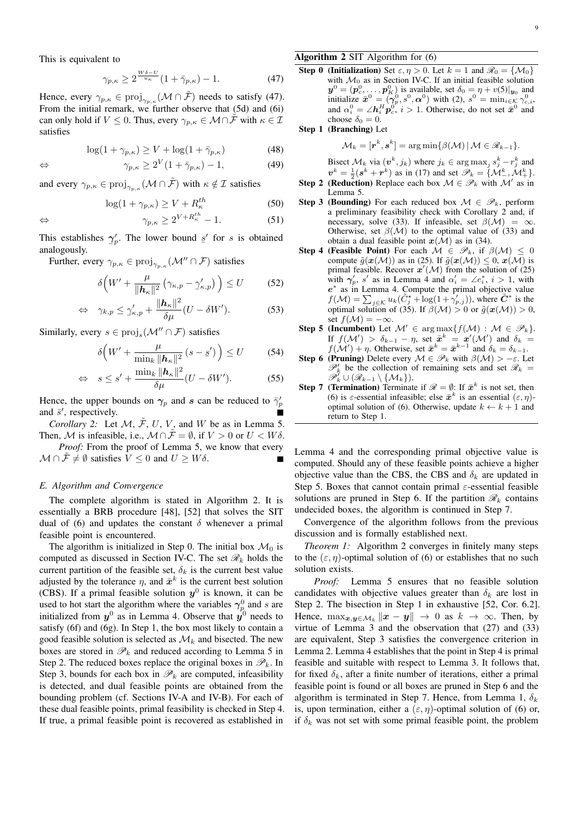This is equivalent to

$$
\gamma_{p,\kappa} \ge 2^{\frac{W\delta - U}{u_{\kappa}}} (1 + \bar{\gamma}_{p,\kappa}) - 1. \tag{47}
$$

Hence, every  $\gamma_{p,\kappa} \in \text{proj}_{\gamma_{p,\kappa}}(\mathcal{M} \cap \tilde{\mathcal{F}})$  needs to satisfy (47). From the initial remark, we further observe that (5d) and (6i) can only hold if  $V \leq 0$ . Thus, every  $\gamma_{p,\kappa} \in \mathcal{M} \cap \tilde{\mathcal{F}}$  with  $\kappa \in \mathcal{I}$ satisfies

$$
\log(1 + \gamma_{p,\kappa}) \ge V + \log(1 + \bar{\gamma}_{p,\kappa})
$$
\n(48)

$$
\Leftrightarrow \qquad \qquad \gamma_{p,\kappa} \ge 2^V (1 + \bar{\gamma}_{p,\kappa}) - 1,\tag{49}
$$

and every  $\gamma_{p,\kappa} \in \text{proj}_{\gamma_{p,\kappa}}(\mathcal{M} \cap \tilde{\mathcal{F}})$  with  $\kappa \notin \mathcal{I}$  satisfies

$$
\log(1 + \gamma_{p,\kappa}) \ge V + R_{\kappa}^{th} \tag{50}
$$

$$
\Leftrightarrow \qquad \qquad \gamma_{p,\kappa} \ge 2^{V + R_{\kappa}^{th}} - 1. \tag{51}
$$

This establishes  $\overline{a}$  $\gamma_p'$ . The lower bound  $s'$  for s is obtained analogously.

Further, every  $\gamma_{p,\kappa} \in \text{proj}_{\gamma_{p,\kappa}}(\mathcal{M}'' \cap \mathcal{F})$  satisfies

$$
\delta\left(W' + \frac{\mu}{\|\mathbf{h}_{\kappa}\|^2} \left(\gamma_{\kappa,p} - \gamma_{\kappa,p}'\right)\right) \le U \tag{52}
$$

$$
\Leftrightarrow \quad \gamma_{k,p} \le \gamma_{\kappa,p}' + \frac{\|\mathbf{h}_{\kappa}\|^2}{\delta \mu} (U - \delta W'). \tag{53}
$$

Similarly, every  $s \in \text{proj}_s(\mathcal{M}'' \cap \mathcal{F})$  satisfies

$$
\delta\Big(W' + \frac{\mu}{\min_{k} \|\mathbf{h}_{\kappa}\|^2} \left(s - s'\right)\Big) \le U \tag{54}
$$

$$
\Leftrightarrow \quad s \leq s' + \frac{\min_{k} \|\boldsymbol{h}_{\kappa}\|^{2}}{\delta \mu} (U - \delta W'). \tag{55}
$$

Hence, the upper bounds on  $\gamma_p$  and s can be reduced to  $\bar{\gamma}_p'$ and  $\bar{s}'$ , respectively.

*Corollary 2:* Let  $M$ ,  $\tilde{\mathcal{F}}$ ,  $U$ ,  $V$ , and  $W$  be as in Lemma 5. Then, M is infeasible, i.e.,  $\mathcal{M} \cap \mathcal{F} = \emptyset$ , if  $V > 0$  or  $U < W\delta$ .

*Proof:* From the proof of Lemma 5, we know that every  $\mathcal{M} \cap \mathcal{F} \neq \emptyset$  satisfies  $V \leq 0$  and  $U \geq W \delta$ .

## *E. Algorithm and Convergence*

The complete algorithm is stated in Algorithm 2. It is essentially a BRB procedure [48], [52] that solves the SIT dual of (6) and updates the constant  $\delta$  whenever a primal feasible point is encountered.

The algorithm is initialized in Step 0. The initial box  $\mathcal{M}_0$  is computed as discussed in Section IV-C. The set  $\mathcal{R}_k$  holds the current partition of the feasible set,  $\delta_k$  is the current best value adjusted by the tolerance  $\eta$ , and  $\bar{x}^k$  is the current best solution (CBS). If a primal feasible solution  $y^0$  is known, it can be used to hot start the algorithm where the variables  $\gamma_p^0$  and s are initialized from  $y^0$  as in Lemma 4. Observe that  $y^0$  needs to satisfy (6f) and (6g). In Step 1, the box most likely to contain a good feasible solution is selected as  $\mathcal{M}_k$  and bisected. The new boxes are stored in  $\mathcal{P}_k$  and reduced according to Lemma 5 in Step 2. The reduced boxes replace the original boxes in  $\mathscr{P}_k$ . In Step 3, bounds for each box in  $\mathcal{P}_k$  are computed, infeasibility is detected, and dual feasible points are obtained from the bounding problem (cf. Sections IV-A and IV-B). For each of these dual feasible points, primal feasibility is checked in Step 4. If true, a primal feasible point is recovered as established in

# Algorithm 2 SIT Algorithm for (6)

**Step 0 (Initialization)** Set  $\varepsilon, \eta > 0$ . Let  $k = 1$  and  $\mathcal{R}_0 = \{ \mathcal{M}_0 \}$ with  $\mathcal{M}_0$  as in Section IV-C. If an initial feasible solution  $y^0 = (p_c^0, \dots, p_K^0)$  is available, set  $\delta_0 = \eta + v(5)|_{y_0}$  and initialize  $\bar{x}^0 = (\gamma_p^0, s^0, \alpha^0)$  with (2),  $s^0 = \min_{i \in \mathcal{K}} \gamma_{c,i}^0$ , and  $\alpha_i^0 = \angle h_i^H \mathbf{p}_c^0$ ,  $i > 1$ . Otherwise, do not set  $\bar{\mathbf{x}}^0$  and choose  $\delta_0 = 0$ .

Step 1 (Branching) Let

$$
\mathcal{M}_k = [\mathbf{r}^k, \mathbf{s}^k] = \arg\min \{ \beta(\mathcal{M}) \, | \, \mathcal{M} \in \mathscr{R}_{k-1} \}.
$$

Bisect  $\mathcal{M}_k$  via  $(\boldsymbol{v}^k, j_k)$  where  $j_k \in \arg \max_j s_j^k - r_j^k$  and  $v^k = \frac{1}{2}(s^k + r^k)$  as in (17) and set  $\mathscr{P}_k = \{ \mathcal{M}^k_-, \mathcal{M}^k_+ \}.$ 

- **Step 2 (Reduction)** Replace each box  $\mathcal{M} \in \mathcal{P}_k$  with  $\mathcal{M}'$  as in Lemma 5.
- **Step 3 (Bounding)** For each reduced box  $M \in \mathcal{P}_k$ , perform a preliminary feasibility check with Corollary 2 and, if necessary, solve (33). If infeasible, set  $\beta(\mathcal{M}) = \infty$ . Otherwise, set  $\beta(\mathcal{M})$  to the optimal value of (33) and obtain a dual feasible point  $x(\mathcal{M})$  as in (34).
- Step 4 (Feasible Point) For each  $\mathcal{M} \in \mathcal{P}_k$ , if  $\beta(\mathcal{M}) \leq 0$ compute  $\tilde{g}(\mathbf{x}(\mathcal{M}))$  as in (25). If  $\tilde{g}(\mathbf{x}(\mathcal{M})) \leq 0$ ,  $\mathbf{x}(\mathcal{M})$  is primal feasible. Recover  $x'(\mathcal{M})$  from the solution of (25) with  $\gamma'_p$ , s' as in Lemma 4 and  $\alpha'_i = \angle e_i^*$ ,  $i > 1$ , with e ∗ as in Lemma 4. Compute the primal objective value  $f(\mathcal{M}) = \sum_{j \in \mathcal{K}} u_k(\tilde{C}_j^* + \log(1 + \gamma'_{p,j}))$ , where  $\tilde{C}^*$  is the optimal solution of (35). If  $\beta(\mathcal{M}) > 0$  or  $\tilde{g}(\boldsymbol{x}(\mathcal{M})) > 0$ , set  $f(\mathcal{M}) = -\infty$ .
- Step 5 (Incumbent) Let  $\mathcal{M}' \in \arg \max \{ f(\mathcal{M}) : \mathcal{M} \in \mathcal{P}_k \}.$ If  $f(\mathcal{M}') > \delta_{k-1} - \eta$ , set  $\bar{x}^k = x'(\mathcal{M}')$  and  $\delta_k =$  $f(\mathcal{M}') + \eta$ . Otherwise, set  $\bar{\mathbf{x}}^k = \bar{\mathbf{x}}^{k-1}$  and  $\delta_k = \delta_{k-1}$ .
- **Step 6 (Pruning)** Delete every  $\mathcal{M} \in \mathcal{P}_k$  with  $\beta(\mathcal{M}) > -\varepsilon$ . Let  $\mathscr{P}'_k$  be the collection of remaining sets and set  $\mathscr{R}_k =$  $\mathscr{P}_{k}^{\prime}\cup(\mathscr{R}_{k-1}\setminus\{\mathcal{M}_{k}\}).$
- **Step 7 (Termination)** Terminate if  $\mathcal{R} = \emptyset$ : If  $\bar{\mathbf{x}}^k$  is not set, then (6) is  $\varepsilon$ -essential infeasible; else  $\bar{x}^k$  is an essential  $(\varepsilon, \eta)$ optimal solution of (6). Otherwise, update  $k \leftarrow k + 1$  and return to Step 1.

Lemma 4 and the corresponding primal objective value is computed. Should any of these feasible points achieve a higher objective value than the CBS, the CBS and  $\delta_k$  are updated in Step 5. Boxes that cannot contain primal  $\varepsilon$ -essential feasible solutions are pruned in Step 6. If the partition  $\mathcal{R}_k$  contains undecided boxes, the algorithm is continued in Step 7.

Convergence of the algorithm follows from the previous discussion and is formally established next.

*Theorem 1:* Algorithm 2 converges in finitely many steps to the  $(\varepsilon, \eta)$ -optimal solution of (6) or establishes that no such solution exists.

*Proof:* Lemma 5 ensures that no feasible solution candidates with objective values greater than  $\delta_k$  are lost in Step 2. The bisection in Step 1 in exhaustive [52, Cor. 6.2]. Hence,  $\max_{\mathbf{x}, \mathbf{y} \in \mathcal{M}_k} ||\mathbf{x} - \mathbf{y}|| \to 0$  as  $k \to \infty$ . Then, by virtue of Lemma 3 and the observation that (27) and (33) are equivalent, Step 3 satisfies the convergence criterion in Lemma 2. Lemma 4 establishes that the point in Step 4 is primal feasible and suitable with respect to Lemma 3. It follows that, for fixed  $\delta_k$ , after a finite number of iterations, either a primal feasible point is found or all boxes are pruned in Step 6 and the algorithm is terminated in Step 7. Hence, from Lemma 1,  $\delta_k$ is, upon termination, either a  $(\varepsilon, \eta)$ -optimal solution of (6) or, if  $\delta_k$  was not set with some primal feasible point, the problem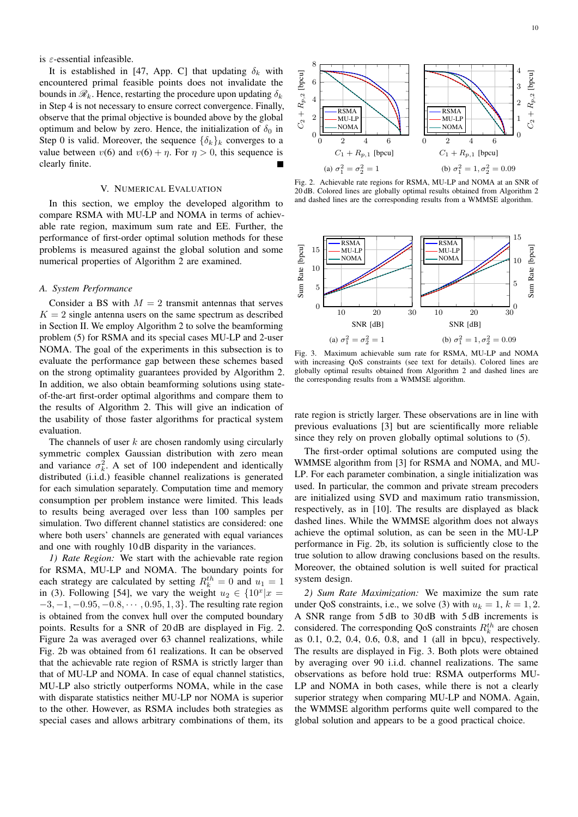is  $\varepsilon$ -essential infeasible.

It is established in [47, App. C] that updating  $\delta_k$  with encountered primal feasible points does not invalidate the bounds in  $\mathcal{R}_k$ . Hence, restarting the procedure upon updating  $\delta_k$ in Step 4 is not necessary to ensure correct convergence. Finally, observe that the primal objective is bounded above by the global optimum and below by zero. Hence, the initialization of  $\delta_0$  in Step 0 is valid. Moreover, the sequence  $\{\delta_k\}_k$  converges to a value between  $v(6)$  and  $v(6) + \eta$ . For  $\eta > 0$ , this sequence is clearly finite.

## V. NUMERICAL EVALUATION

In this section, we employ the developed algorithm to compare RSMA with MU-LP and NOMA in terms of achievable rate region, maximum sum rate and EE. Further, the performance of first-order optimal solution methods for these problems is measured against the global solution and some numerical properties of Algorithm 2 are examined.

## *A. System Performance*

Consider a BS with  $M = 2$  transmit antennas that serves  $K = 2$  single antenna users on the same spectrum as described in Section II. We employ Algorithm 2 to solve the beamforming problem (5) for RSMA and its special cases MU-LP and 2-user NOMA. The goal of the experiments in this subsection is to evaluate the performance gap between these schemes based on the strong optimality guarantees provided by Algorithm 2. In addition, we also obtain beamforming solutions using stateof-the-art first-order optimal algorithms and compare them to the results of Algorithm 2. This will give an indication of the usability of those faster algorithms for practical system evaluation.

The channels of user  $k$  are chosen randomly using circularly symmetric complex Gaussian distribution with zero mean and variance  $\sigma_k^2$ . A set of 100 independent and identically distributed (i.i.d.) feasible channel realizations is generated for each simulation separately. Computation time and memory consumption per problem instance were limited. This leads to results being averaged over less than 100 samples per simulation. Two different channel statistics are considered: one where both users' channels are generated with equal variances and one with roughly 10 dB disparity in the variances.

*1) Rate Region:* We start with the achievable rate region for RSMA, MU-LP and NOMA. The boundary points for each strategy are calculated by setting  $R_k^{th} = 0$  and  $u_1 = 1$ in (3). Following [54], we vary the weight  $u_2 \in \{10^x | x =$  $-3, -1, -0.95, -0.8, \cdots, 0.95, 1, 3$ . The resulting rate region is obtained from the convex hull over the computed boundary points. Results for a SNR of 20 dB are displayed in Fig. 2. Figure 2a was averaged over 63 channel realizations, while Fig. 2b was obtained from 61 realizations. It can be observed that the achievable rate region of RSMA is strictly larger than that of MU-LP and NOMA. In case of equal channel statistics, MU-LP also strictly outperforms NOMA, while in the case with disparate statistics neither MU-LP nor NOMA is superior to the other. However, as RSMA includes both strategies as special cases and allows arbitrary combinations of them, its



Fig. 2. Achievable rate regions for RSMA, MU-LP and NOMA at an SNR of 20 dB. Colored lines are globally optimal results obtained from Algorithm 2 and dashed lines are the corresponding results from a WMMSE algorithm.



Fig. 3. Maximum achievable sum rate for RSMA, MU-LP and NOMA with increasing QoS constraints (see text for details). Colored lines are globally optimal results obtained from Algorithm 2 and dashed lines are the corresponding results from a WMMSE algorithm.

rate region is strictly larger. These observations are in line with previous evaluations [3] but are scientifically more reliable since they rely on proven globally optimal solutions to (5).

The first-order optimal solutions are computed using the WMMSE algorithm from [3] for RSMA and NOMA, and MU-LP. For each parameter combination, a single initialization was used. In particular, the common and private stream precoders are initialized using SVD and maximum ratio transmission, respectively, as in [10]. The results are displayed as black dashed lines. While the WMMSE algorithm does not always achieve the optimal solution, as can be seen in the MU-LP performance in Fig. 2b, its solution is sufficiently close to the true solution to allow drawing conclusions based on the results. Moreover, the obtained solution is well suited for practical system design.

*2) Sum Rate Maximization:* We maximize the sum rate under QoS constraints, i.e., we solve (3) with  $u_k = 1$ ,  $k = 1, 2$ . A SNR range from 5 dB to 30 dB with 5 dB increments is considered. The corresponding QoS constraints  $R_k^{th}$  are chosen as 0.1, 0.2, 0.4, 0.6, 0.8, and 1 (all in bpcu), respectively. The results are displayed in Fig. 3. Both plots were obtained by averaging over 90 i.i.d. channel realizations. The same observations as before hold true: RSMA outperforms MU-LP and NOMA in both cases, while there is not a clearly superior strategy when comparing MU-LP and NOMA. Again, the WMMSE algorithm performs quite well compared to the global solution and appears to be a good practical choice.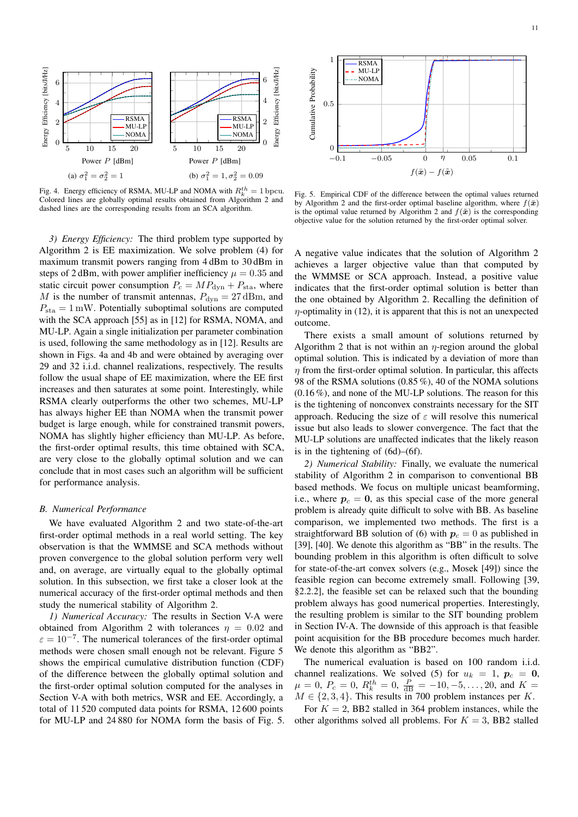

Fig. 4. Energy efficiency of RSMA, MU-LP and NOMA with  $R_k^{th} = 1$  bpcu. Colored lines are globally optimal results obtained from Algorithm 2 and dashed lines are the corresponding results from an SCA algorithm.

*3) Energy Efficiency:* The third problem type supported by Algorithm 2 is EE maximization. We solve problem (4) for maximum transmit powers ranging from 4 dBm to 30 dBm in steps of 2 dBm, with power amplifier inefficiency  $\mu = 0.35$  and static circuit power consumption  $P_c = MP_{\text{dyn}} + P_{\text{sta}}$ , where M is the number of transmit antennas,  $P_{\text{dyn}} = 27 \text{ dBm}$ , and  $P_{sta} = 1$  mW. Potentially suboptimal solutions are computed with the SCA approach [55] as in [12] for RSMA, NOMA, and MU-LP. Again a single initialization per parameter combination is used, following the same methodology as in [12]. Results are shown in Figs. 4a and 4b and were obtained by averaging over 29 and 32 i.i.d. channel realizations, respectively. The results follow the usual shape of EE maximization, where the EE first increases and then saturates at some point. Interestingly, while RSMA clearly outperforms the other two schemes, MU-LP has always higher EE than NOMA when the transmit power budget is large enough, while for constrained transmit powers, NOMA has slightly higher efficiency than MU-LP. As before, the first-order optimal results, this time obtained with SCA, are very close to the globally optimal solution and we can conclude that in most cases such an algorithm will be sufficient for performance analysis.

## *B. Numerical Performance*

We have evaluated Algorithm 2 and two state-of-the-art first-order optimal methods in a real world setting. The key observation is that the WMMSE and SCA methods without proven convergence to the global solution perform very well and, on average, are virtually equal to the globally optimal solution. In this subsection, we first take a closer look at the numerical accuracy of the first-order optimal methods and then study the numerical stability of Algorithm 2.

*1) Numerical Accuracy:* The results in Section V-A were obtained from Algorithm 2 with tolerances  $\eta = 0.02$  and  $\varepsilon = 10^{-7}$ . The numerical tolerances of the first-order optimal methods were chosen small enough not be relevant. Figure 5 shows the empirical cumulative distribution function (CDF) of the difference between the globally optimal solution and the first-order optimal solution computed for the analyses in Section V-A with both metrics, WSR and EE. Accordingly, a total of 11 520 computed data points for RSMA, 12 600 points for MU-LP and 24 880 for NOMA form the basis of Fig. 5.



Fig. 5. Empirical CDF of the difference between the optimal values returned by Algorithm 2 and the first-order optimal baseline algorithm, where  $f(\bar{x})$ is the optimal value returned by Algorithm 2 and  $f(\tilde{x})$  is the corresponding objective value for the solution returned by the first-order optimal solver.

A negative value indicates that the solution of Algorithm 2 achieves a larger objective value than that computed by the WMMSE or SCA approach. Instead, a positive value indicates that the first-order optimal solution is better than the one obtained by Algorithm 2. Recalling the definition of  $\eta$ -optimality in (12), it is apparent that this is not an unexpected outcome.

There exists a small amount of solutions returned by Algorithm 2 that is not within an  $\eta$ -region around the global optimal solution. This is indicated by a deviation of more than  $\eta$  from the first-order optimal solution. In particular, this affects 98 of the RSMA solutions (0.85 %), 40 of the NOMA solutions (0.16 %), and none of the MU-LP solutions. The reason for this is the tightening of nonconvex constraints necessary for the SIT approach. Reducing the size of  $\varepsilon$  will resolve this numerical issue but also leads to slower convergence. The fact that the MU-LP solutions are unaffected indicates that the likely reason is in the tightening of (6d)–(6f).

*2) Numerical Stability:* Finally, we evaluate the numerical stability of Algorithm 2 in comparison to conventional BB based methods. We focus on multiple unicast beamforming, i.e., where  $p_c = 0$ , as this special case of the more general problem is already quite difficult to solve with BB. As baseline comparison, we implemented two methods. The first is a straightforward BB solution of (6) with  $p_c = 0$  as published in [39], [40]. We denote this algorithm as "BB" in the results. The bounding problem in this algorithm is often difficult to solve for state-of-the-art convex solvers (e.g., Mosek [49]) since the feasible region can become extremely small. Following [39, §2.2.2], the feasible set can be relaxed such that the bounding problem always has good numerical properties. Interestingly, the resulting problem is similar to the SIT bounding problem in Section IV-A. The downside of this approach is that feasible point acquisition for the BB procedure becomes much harder. We denote this algorithm as "BB2".

The numerical evaluation is based on 100 random i.i.d. channel realizations. We solved (5) for  $u_k = 1$ ,  $p_c = 0$ ,  $\mu = 0, P_c = 0, R_k^{th} = 0, \frac{P}{dB} = -10, -5, \dots, 20, \text{ and } K =$  $M \in \{2, 3, 4\}$ . This results in 700 problem instances per K.

For  $K = 2$ , BB2 stalled in 364 problem instances, while the other algorithms solved all problems. For  $K = 3$ , BB2 stalled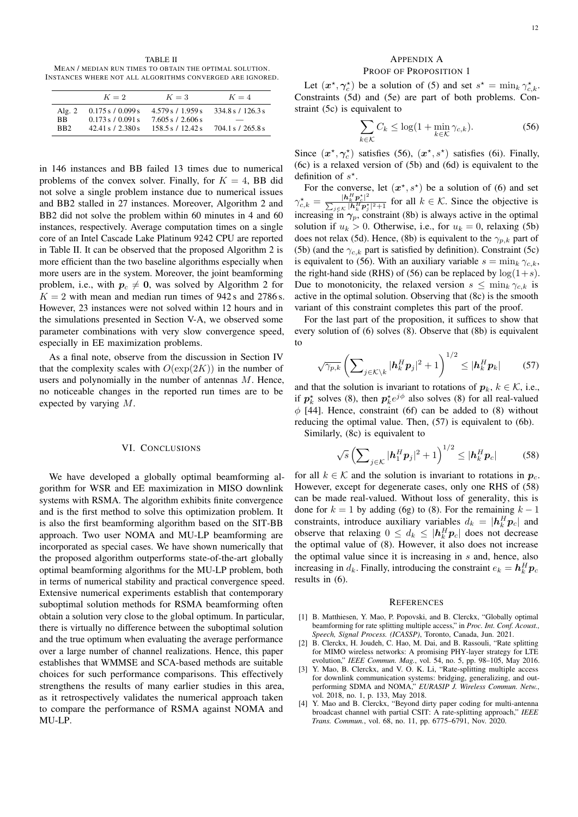TABLE II MEAN / MEDIAN RUN TIMES TO OBTAIN THE OPTIMAL SOLUTION. INSTANCES WHERE NOT ALL ALGORITHMS CONVERGED ARE IGNORED.

|                                    | $K=2$                                                           | $K=3$                                                          | $K=4$                                  |
|------------------------------------|-----------------------------------------------------------------|----------------------------------------------------------------|----------------------------------------|
| Alg. $2$<br>BB.<br>B <sub>R2</sub> | $0.175$ s $/$ 0.099 s<br>0.173 s / 0.091 s<br>42.41 s / 2.380 s | 4.579 s / 1.959 s<br>$7.605$ s $/2.606$ s<br>158.5 s / 12.42 s | 334.8 s / 126.3 s<br>704.1 s / 265.8 s |

in 146 instances and BB failed 13 times due to numerical problems of the convex solver. Finally, for  $K = 4$ , BB did not solve a single problem instance due to numerical issues and BB2 stalled in 27 instances. Moreover, Algorithm 2 and BB2 did not solve the problem within 60 minutes in 4 and 60 instances, respectively. Average computation times on a single core of an Intel Cascade Lake Platinum 9242 CPU are reported in Table II. It can be observed that the proposed Algorithm 2 is more efficient than the two baseline algorithms especially when more users are in the system. Moreover, the joint beamforming problem, i.e., with  $p_c \neq 0$ , was solved by Algorithm 2 for  $K = 2$  with mean and median run times of 942 s and 2786 s. However, 23 instances were not solved within 12 hours and in the simulations presented in Section V-A, we observed some parameter combinations with very slow convergence speed, especially in EE maximization problems.

As a final note, observe from the discussion in Section IV that the complexity scales with  $O(\exp(2K))$  in the number of users and polynomially in the number of antennas M. Hence, no noticeable changes in the reported run times are to be expected by varying M.

## VI. CONCLUSIONS

We have developed a globally optimal beamforming algorithm for WSR and EE maximization in MISO downlink systems with RSMA. The algorithm exhibits finite convergence and is the first method to solve this optimization problem. It is also the first beamforming algorithm based on the SIT-BB approach. Two user NOMA and MU-LP beamforming are incorporated as special cases. We have shown numerically that the proposed algorithm outperforms state-of-the-art globally optimal beamforming algorithms for the MU-LP problem, both in terms of numerical stability and practical convergence speed. Extensive numerical experiments establish that contemporary suboptimal solution methods for RSMA beamforming often obtain a solution very close to the global optimum. In particular, there is virtually no difference between the suboptimal solution and the true optimum when evaluating the average performance over a large number of channel realizations. Hence, this paper establishes that WMMSE and SCA-based methods are suitable choices for such performance comparisons. This effectively strengthens the results of many earlier studies in this area, as it retrospectively validates the numerical approach taken to compare the performance of RSMA against NOMA and MU-LP.

## APPENDIX A PROOF OF PROPOSITION 1

Let  $(x^*, \gamma_c^*)$  be a solution of (5) and set  $s^* = \min_k \gamma_{c,k}^*$ . Constraints (5d) and (5e) are part of both problems. Constraint (5c) is equivalent to

$$
\sum_{k \in \mathcal{K}} C_k \le \log(1 + \min_{k \in \mathcal{K}} \gamma_{c,k}).\tag{56}
$$

Since  $(x^*, \gamma_c^*)$  satisfies (56),  $(x^*, s^*)$  satisfies (6i). Finally, (6c) is a relaxed version of (5b) and (6d) is equivalent to the definition of  $s^*$ .

For the converse, let  $(x^*, s^*)$  be a solution of (6) and set  $\gamma_{c,k}^\star = \frac{|\bm{h}_k^H\bm{p}_c^\star|^2}{\sum_{c\in\mathcal{K}}|\bm{h}_c^H\bm{p}_c^\star|}$  $\frac{|n_k p_c|}{\sum_{j \in \mathcal{K}} |h_k^H p_j^*|^2 + 1}$  for all  $k \in \mathcal{K}$ . Since the objective is increasing in  $\gamma_p$ , constraint (8b) is always active in the optimal solution if  $u_k > 0$ . Otherwise, i.e., for  $u_k = 0$ , relaxing (5b) does not relax (5d). Hence, (8b) is equivalent to the  $\gamma_{p,k}$  part of (5b) (and the  $\gamma_{c,k}$  part is satisfied by definition). Constraint (5c) is equivalent to (56). With an auxiliary variable  $s = \min_k \gamma_{c,k}$ , the right-hand side (RHS) of (56) can be replaced by  $log(1+s)$ . Due to monotonicity, the relaxed version  $s \leq \min_k \gamma_{c,k}$  is active in the optimal solution. Observing that (8c) is the smooth variant of this constraint completes this part of the proof.

For the last part of the proposition, it suffices to show that every solution of (6) solves (8). Observe that (8b) is equivalent to

$$
\sqrt{\gamma_{p,k}} \left( \sum_{j \in \mathcal{K} \setminus k} |\boldsymbol{h}_k^H \boldsymbol{p}_j|^2 + 1 \right)^{1/2} \leq |\boldsymbol{h}_k^H \boldsymbol{p}_k| \qquad (57)
$$

and that the solution is invariant to rotations of  $p_k$ ,  $k \in \mathcal{K}$ , i.e., if  $p_k^*$  solves (8), then  $p_k^* e^{j\phi}$  also solves (8) for all real-valued  $\phi$  [44]. Hence, constraint (6f) can be added to (8) without reducing the optimal value. Then, (57) is equivalent to (6b).

Similarly, (8c) is equivalent to

$$
\sqrt{s}\left(\sum_{j\in\mathcal{K}}|\boldsymbol{h}_1^H\boldsymbol{p}_j|^2+1\right)^{1/2}\leq|\boldsymbol{h}_k^H\boldsymbol{p}_c|\qquad(58)
$$

for all  $k \in \mathcal{K}$  and the solution is invariant to rotations in  $p_c$ . However, except for degenerate cases, only one RHS of (58) can be made real-valued. Without loss of generality, this is done for  $k = 1$  by adding (6g) to (8). For the remaining  $k - 1$ constraints, introduce auxiliary variables  $d_k = |\mathbf{h}_k^H \mathbf{p}_c|$  and observe that relaxing  $0 \leq d_k \leq |\mathbf{h}_k^H \mathbf{p}_c|$  does not decrease the optimal value of (8). However, it also does not increase the optimal value since it is increasing in  $s$  and, hence, also increasing in  $d_k$ . Finally, introducing the constraint  $e_k = \mathbf{h}_k^H \mathbf{p}_c$ results in (6).

#### **REFERENCES**

- [1] B. Matthiesen, Y. Mao, P. Popovski, and B. Clerckx, "Globally optimal beamforming for rate splitting multiple access," in *Proc. Int. Conf. Acoust., Speech, Signal Process. (ICASSP)*, Toronto, Canada, Jun. 2021.
- [2] B. Clerckx, H. Joudeh, C. Hao, M. Dai, and B. Rassouli, "Rate splitting for MIMO wireless networks: A promising PHY-layer strategy for LTE evolution," *IEEE Commun. Mag.*, vol. 54, no. 5, pp. 98–105, May 2016.
- [3] Y. Mao, B. Clerckx, and V. O. K. Li, "Rate-splitting multiple access for downlink communication systems: bridging, generalizing, and outperforming SDMA and NOMA," *EURASIP J. Wireless Commun. Netw.*, vol. 2018, no. 1, p. 133, May 2018.
- [4] Y. Mao and B. Clerckx, "Beyond dirty paper coding for multi-antenna broadcast channel with partial CSIT: A rate-splitting approach," *IEEE Trans. Commun.*, vol. 68, no. 11, pp. 6775–6791, Nov. 2020.